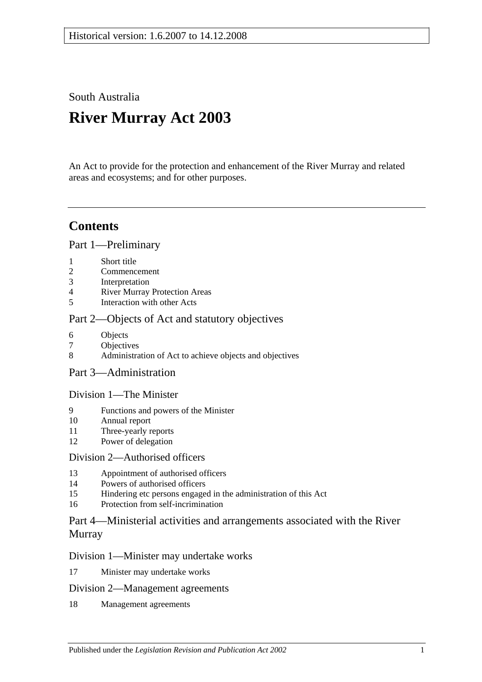South Australia

# **River Murray Act 2003**

An Act to provide for the protection and enhancement of the River Murray and related areas and ecosystems; and for other purposes.

# **Contents**

[Part 1—Preliminary](#page-2-0)

- 1 [Short title](#page-2-1)
- 2 [Commencement](#page-2-2)
- 3 [Interpretation](#page-2-3)
- 4 [River Murray Protection Areas](#page-5-0)
- 5 [Interaction with other Acts](#page-5-1)

# [Part 2—Objects of Act and statutory objectives](#page-6-0)

- 6 [Objects](#page-6-1)
- 7 [Objectives](#page-7-0)
- 8 [Administration of Act to achieve objects and objectives](#page-9-0)
- [Part 3—Administration](#page-9-1)

# [Division 1—The Minister](#page-9-2)

- 9 [Functions and powers of the Minister](#page-9-3)
- 10 [Annual report](#page-11-0)
- 11 [Three-yearly reports](#page-11-1)
- 12 [Power of delegation](#page-11-2)

### [Division 2—Authorised officers](#page-12-0)

- 13 [Appointment of authorised officers](#page-12-1)
- 14 [Powers of authorised officers](#page-12-2)
- 15 [Hindering etc persons engaged in the administration of this Act](#page-14-0)
- 16 [Protection from self-incrimination](#page-15-0)

# [Part 4—Ministerial activities and arrangements associated with the River](#page-15-1)  [Murray](#page-15-1)

### [Division 1—Minister may undertake works](#page-15-2)

17 [Minister may undertake works](#page-15-3)

### [Division 2—Management agreements](#page-16-0)

18 [Management agreements](#page-16-1)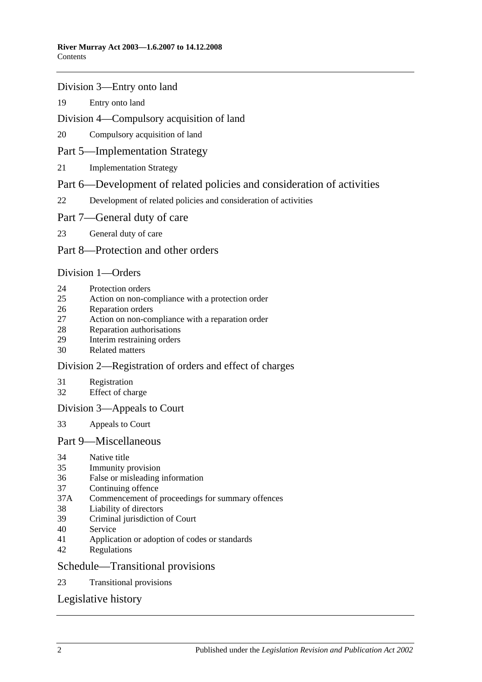#### [Division 3—Entry onto land](#page-17-0)

[Entry onto land](#page-17-1)

### [Division 4—Compulsory acquisition of land](#page-18-0)

[Compulsory acquisition of land](#page-18-1)

### [Part 5—Implementation Strategy](#page-18-2)

[Implementation Strategy](#page-18-3)

### [Part 6—Development of related policies and consideration of activities](#page-19-0)

[Development of related policies and consideration of activities](#page-19-1)

#### [Part 7—General duty of care](#page-23-0)

[General duty of care](#page-23-1)

### [Part 8—Protection and other orders](#page-24-0)

#### [Division 1—Orders](#page-24-1)

- [Protection orders](#page-24-2)
- [Action on non-compliance with a protection order](#page-26-0)
- [Reparation orders](#page-27-0)
- [Action on non-compliance with a reparation order](#page-28-0)
- [Reparation authorisations](#page-29-0)
- [Interim restraining orders](#page-30-0)
- [Related matters](#page-31-0)

### [Division 2—Registration of orders and effect of charges](#page-31-1)

- [Registration](#page-31-2)
- [Effect of charge](#page-32-0)

### [Division 3—Appeals to Court](#page-32-1)

[Appeals to Court](#page-32-2)

#### [Part 9—Miscellaneous](#page-33-0)

- [Native title](#page-33-1)
- [Immunity provision](#page-33-2)
- [False or misleading information](#page-34-0)
- [Continuing offence](#page-34-1)
- 37A [Commencement of proceedings for summary offences](#page-34-2)
- [Liability of directors](#page-35-0)
- [Criminal jurisdiction of Court](#page-35-1)
- [Service](#page-35-2)
- [Application or adoption of codes or standards](#page-35-3)
- [Regulations](#page-36-0)

#### [Schedule—Transitional provisions](#page-38-0)

[Transitional provisions](#page-38-1)

# [Legislative history](#page-40-0)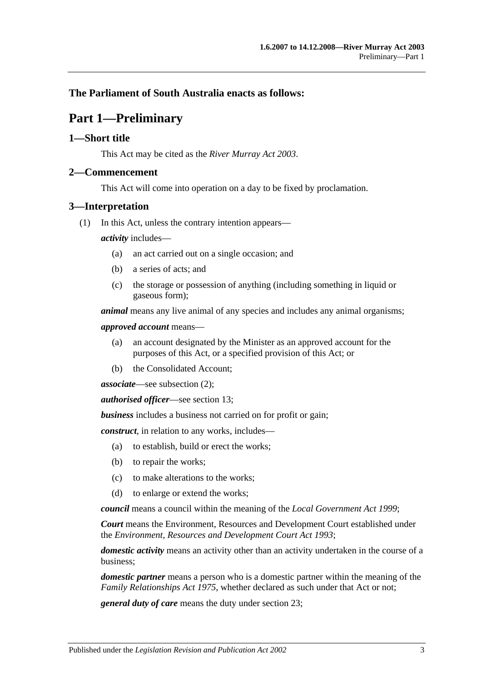### <span id="page-2-0"></span>**The Parliament of South Australia enacts as follows:**

# **Part 1—Preliminary**

#### <span id="page-2-1"></span>**1—Short title**

This Act may be cited as the *River Murray Act 2003*.

#### <span id="page-2-2"></span>**2—Commencement**

This Act will come into operation on a day to be fixed by proclamation.

#### <span id="page-2-3"></span>**3—Interpretation**

(1) In this Act, unless the contrary intention appears—

*activity* includes—

- (a) an act carried out on a single occasion; and
- (b) a series of acts; and
- (c) the storage or possession of anything (including something in liquid or gaseous form);

*animal* means any live animal of any species and includes any animal organisms;

*approved account* means—

- (a) an account designated by the Minister as an approved account for the purposes of this Act, or a specified provision of this Act; or
- (b) the Consolidated Account;

*associate*—see [subsection](#page-4-0) (2);

*authorised officer*—see [section](#page-12-1) 13;

*business* includes a business not carried on for profit or gain;

*construct*, in relation to any works, includes—

- (a) to establish, build or erect the works;
- (b) to repair the works;
- (c) to make alterations to the works;
- (d) to enlarge or extend the works;

*council* means a council within the meaning of the *[Local Government Act](http://www.legislation.sa.gov.au/index.aspx?action=legref&type=act&legtitle=Local%20Government%20Act%201999) 1999*;

*Court* means the Environment, Resources and Development Court established under the *[Environment, Resources and Development Court Act](http://www.legislation.sa.gov.au/index.aspx?action=legref&type=act&legtitle=Environment%20Resources%20and%20Development%20Court%20Act%201993) 1993*;

*domestic activity* means an activity other than an activity undertaken in the course of a business;

*domestic partner* means a person who is a domestic partner within the meaning of the *[Family Relationships Act](http://www.legislation.sa.gov.au/index.aspx?action=legref&type=act&legtitle=Family%20Relationships%20Act%201975) 1975*, whether declared as such under that Act or not;

*general duty of care* means the duty under [section](#page-23-1) 23;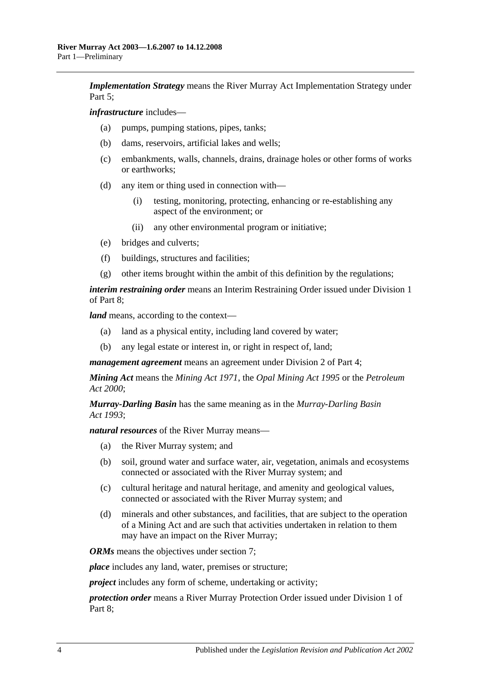*Implementation Strategy* means the River Murray Act Implementation Strategy under Part 5:

*infrastructure* includes—

- (a) pumps, pumping stations, pipes, tanks;
- (b) dams, reservoirs, artificial lakes and wells;
- (c) embankments, walls, channels, drains, drainage holes or other forms of works or earthworks;
- (d) any item or thing used in connection with—
	- (i) testing, monitoring, protecting, enhancing or re-establishing any aspect of the environment; or
	- (ii) any other environmental program or initiative;
- (e) bridges and culverts;
- (f) buildings, structures and facilities;
- (g) other items brought within the ambit of this definition by the regulations;

*interim restraining order* means an Interim Restraining Order issued under [Division 1](#page-24-1) of [Part 8;](#page-24-0)

*land* means, according to the context—

- (a) land as a physical entity, including land covered by water;
- (b) any legal estate or interest in, or right in respect of, land;

*management agreement* means an agreement under [Division 2](#page-16-0) of [Part 4;](#page-15-1)

*Mining Act* means the *[Mining Act](http://www.legislation.sa.gov.au/index.aspx?action=legref&type=act&legtitle=Mining%20Act%201971) 1971*, the *[Opal Mining Act](http://www.legislation.sa.gov.au/index.aspx?action=legref&type=act&legtitle=Opal%20Mining%20Act%201995) 1995* or the *[Petroleum](http://www.legislation.sa.gov.au/index.aspx?action=legref&type=act&legtitle=Petroleum%20Act%202000)  Act [2000](http://www.legislation.sa.gov.au/index.aspx?action=legref&type=act&legtitle=Petroleum%20Act%202000)*;

*Murray-Darling Basin* has the same meaning as in the *[Murray-Darling Basin](http://www.legislation.sa.gov.au/index.aspx?action=legref&type=act&legtitle=Murray-Darling%20Basin%20Act%201993)  Act [1993](http://www.legislation.sa.gov.au/index.aspx?action=legref&type=act&legtitle=Murray-Darling%20Basin%20Act%201993)*;

*natural resources* of the River Murray means—

- (a) the River Murray system; and
- (b) soil, ground water and surface water, air, vegetation, animals and ecosystems connected or associated with the River Murray system; and
- (c) cultural heritage and natural heritage, and amenity and geological values, connected or associated with the River Murray system; and
- (d) minerals and other substances, and facilities, that are subject to the operation of a Mining Act and are such that activities undertaken in relation to them may have an impact on the River Murray;

*ORMs* means the objectives under [section](#page-7-0) 7;

*place* includes any land, water, premises or structure;

*project* includes any form of scheme, undertaking or activity;

*protection order* means a River Murray Protection Order issued under [Division 1](#page-24-1) of [Part](#page-24-0) 8;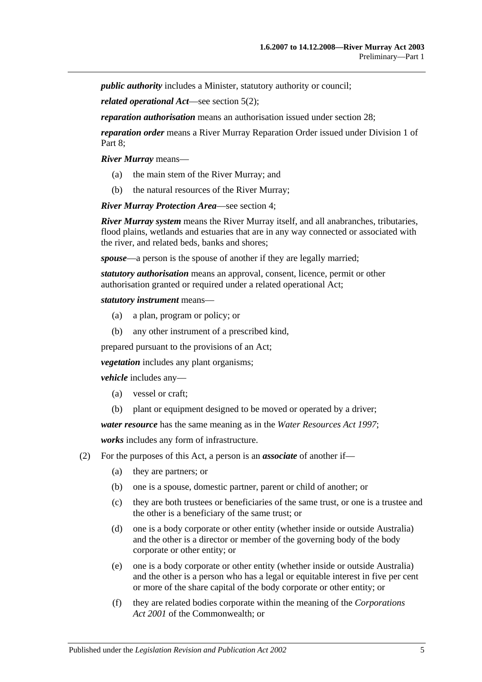*public authority* includes a Minister, statutory authority or council;

*related operational Act*—see [section](#page-5-2) 5(2);

*reparation authorisation* means an authorisation issued under [section](#page-29-0) 28;

*reparation order* means a River Murray Reparation Order issued under [Division 1](#page-24-1) of Part 8:

*River Murray* means—

- (a) the main stem of the River Murray; and
- (b) the natural resources of the River Murray;

*River Murray Protection Area*—see [section](#page-5-0) 4;

*River Murray system* means the River Murray itself, and all anabranches, tributaries, flood plains, wetlands and estuaries that are in any way connected or associated with the river, and related beds, banks and shores;

*spouse*—a person is the spouse of another if they are legally married;

*statutory authorisation* means an approval, consent, licence, permit or other authorisation granted or required under a related operational Act;

#### *statutory instrument* means—

- (a) a plan, program or policy; or
- (b) any other instrument of a prescribed kind,

prepared pursuant to the provisions of an Act;

*vegetation* includes any plant organisms;

*vehicle* includes any—

- (a) vessel or craft;
- (b) plant or equipment designed to be moved or operated by a driver;

*water resource* has the same meaning as in the *[Water Resources Act](http://www.legislation.sa.gov.au/index.aspx?action=legref&type=act&legtitle=Water%20Resources%20Act%201997) 1997*;

*works* includes any form of infrastructure.

- <span id="page-4-0"></span>(2) For the purposes of this Act, a person is an *associate* of another if—
	- (a) they are partners; or
	- (b) one is a spouse, domestic partner, parent or child of another; or
	- (c) they are both trustees or beneficiaries of the same trust, or one is a trustee and the other is a beneficiary of the same trust; or
	- (d) one is a body corporate or other entity (whether inside or outside Australia) and the other is a director or member of the governing body of the body corporate or other entity; or
	- (e) one is a body corporate or other entity (whether inside or outside Australia) and the other is a person who has a legal or equitable interest in five per cent or more of the share capital of the body corporate or other entity; or
	- (f) they are related bodies corporate within the meaning of the *Corporations Act 2001* of the Commonwealth; or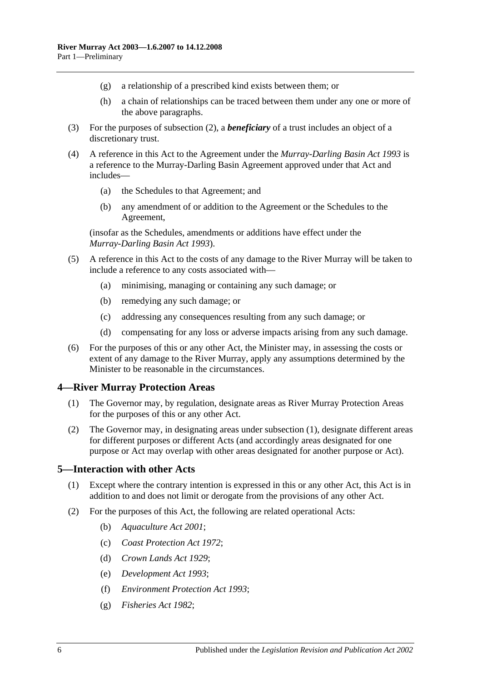- (g) a relationship of a prescribed kind exists between them; or
- (h) a chain of relationships can be traced between them under any one or more of the above paragraphs.
- (3) For the purposes of [subsection](#page-4-0) (2), a *beneficiary* of a trust includes an object of a discretionary trust.
- (4) A reference in this Act to the Agreement under the *[Murray-Darling Basin Act](http://www.legislation.sa.gov.au/index.aspx?action=legref&type=act&legtitle=Murray-Darling%20Basin%20Act%201993) 1993* is a reference to the Murray-Darling Basin Agreement approved under that Act and includes—
	- (a) the Schedules to that Agreement; and
	- (b) any amendment of or addition to the Agreement or the Schedules to the Agreement,

(insofar as the Schedules, amendments or additions have effect under the *[Murray-Darling Basin Act](http://www.legislation.sa.gov.au/index.aspx?action=legref&type=act&legtitle=Murray-Darling%20Basin%20Act%201993) 1993*).

- (5) A reference in this Act to the costs of any damage to the River Murray will be taken to include a reference to any costs associated with—
	- (a) minimising, managing or containing any such damage; or
	- (b) remedying any such damage; or
	- (c) addressing any consequences resulting from any such damage; or
	- (d) compensating for any loss or adverse impacts arising from any such damage.
- (6) For the purposes of this or any other Act, the Minister may, in assessing the costs or extent of any damage to the River Murray, apply any assumptions determined by the Minister to be reasonable in the circumstances.

#### <span id="page-5-3"></span><span id="page-5-0"></span>**4—River Murray Protection Areas**

- (1) The Governor may, by regulation, designate areas as River Murray Protection Areas for the purposes of this or any other Act.
- (2) The Governor may, in designating areas under [subsection](#page-5-3) (1), designate different areas for different purposes or different Acts (and accordingly areas designated for one purpose or Act may overlap with other areas designated for another purpose or Act).

#### <span id="page-5-1"></span>**5—Interaction with other Acts**

- (1) Except where the contrary intention is expressed in this or any other Act, this Act is in addition to and does not limit or derogate from the provisions of any other Act.
- <span id="page-5-2"></span>(2) For the purposes of this Act, the following are related operational Acts:
	- (b) *[Aquaculture Act](http://www.legislation.sa.gov.au/index.aspx?action=legref&type=act&legtitle=Aquaculture%20Act%202001) 2001*;
	- (c) *[Coast Protection Act](http://www.legislation.sa.gov.au/index.aspx?action=legref&type=act&legtitle=Coast%20Protection%20Act%201972) 1972*;
	- (d) *[Crown Lands Act](http://www.legislation.sa.gov.au/index.aspx?action=legref&type=act&legtitle=Crown%20Lands%20Act%201929) 1929*;
	- (e) *[Development Act](http://www.legislation.sa.gov.au/index.aspx?action=legref&type=act&legtitle=Development%20Act%201993) 1993*;
	- (f) *[Environment Protection Act](http://www.legislation.sa.gov.au/index.aspx?action=legref&type=act&legtitle=Environment%20Protection%20Act%201993) 1993*;
	- (g) *[Fisheries Act](http://www.legislation.sa.gov.au/index.aspx?action=legref&type=act&legtitle=Fisheries%20Act%201982) 1982*;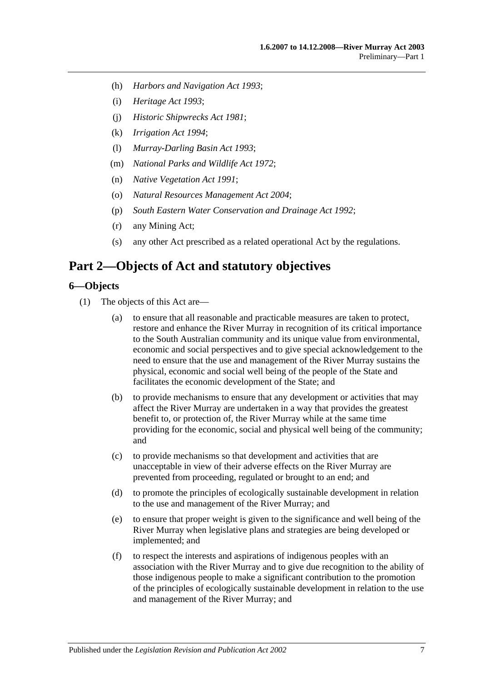- (h) *[Harbors and Navigation Act](http://www.legislation.sa.gov.au/index.aspx?action=legref&type=act&legtitle=Harbors%20and%20Navigation%20Act%201993) 1993*;
- (i) *[Heritage Act](http://www.legislation.sa.gov.au/index.aspx?action=legref&type=act&legtitle=Heritage%20Act%201993) 1993*;
- (j) *[Historic Shipwrecks Act](http://www.legislation.sa.gov.au/index.aspx?action=legref&type=act&legtitle=Historic%20Shipwrecks%20Act%201981) 1981*;
- (k) *[Irrigation Act](http://www.legislation.sa.gov.au/index.aspx?action=legref&type=act&legtitle=Irrigation%20Act%201994) 1994*;
- (l) *[Murray-Darling Basin Act](http://www.legislation.sa.gov.au/index.aspx?action=legref&type=act&legtitle=Murray-Darling%20Basin%20Act%201993) 1993*;
- (m) *[National Parks and Wildlife Act](http://www.legislation.sa.gov.au/index.aspx?action=legref&type=act&legtitle=National%20Parks%20and%20Wildlife%20Act%201972) 1972*;
- (n) *[Native Vegetation Act](http://www.legislation.sa.gov.au/index.aspx?action=legref&type=act&legtitle=Native%20Vegetation%20Act%201991) 1991*;
- (o) *[Natural Resources Management Act](http://www.legislation.sa.gov.au/index.aspx?action=legref&type=act&legtitle=Natural%20Resources%20Management%20Act%202004) 2004*;
- (p) *[South Eastern Water Conservation and Drainage Act](http://www.legislation.sa.gov.au/index.aspx?action=legref&type=act&legtitle=South%20Eastern%20Water%20Conservation%20and%20Drainage%20Act%201992) 1992*;
- (r) any Mining Act;
- (s) any other Act prescribed as a related operational Act by the regulations.

# <span id="page-6-0"></span>**Part 2—Objects of Act and statutory objectives**

#### <span id="page-6-1"></span>**6—Objects**

- (1) The objects of this Act are—
	- (a) to ensure that all reasonable and practicable measures are taken to protect, restore and enhance the River Murray in recognition of its critical importance to the South Australian community and its unique value from environmental, economic and social perspectives and to give special acknowledgement to the need to ensure that the use and management of the River Murray sustains the physical, economic and social well being of the people of the State and facilitates the economic development of the State; and
	- (b) to provide mechanisms to ensure that any development or activities that may affect the River Murray are undertaken in a way that provides the greatest benefit to, or protection of, the River Murray while at the same time providing for the economic, social and physical well being of the community; and
	- (c) to provide mechanisms so that development and activities that are unacceptable in view of their adverse effects on the River Murray are prevented from proceeding, regulated or brought to an end; and
	- (d) to promote the principles of ecologically sustainable development in relation to the use and management of the River Murray; and
	- (e) to ensure that proper weight is given to the significance and well being of the River Murray when legislative plans and strategies are being developed or implemented; and
	- (f) to respect the interests and aspirations of indigenous peoples with an association with the River Murray and to give due recognition to the ability of those indigenous people to make a significant contribution to the promotion of the principles of ecologically sustainable development in relation to the use and management of the River Murray; and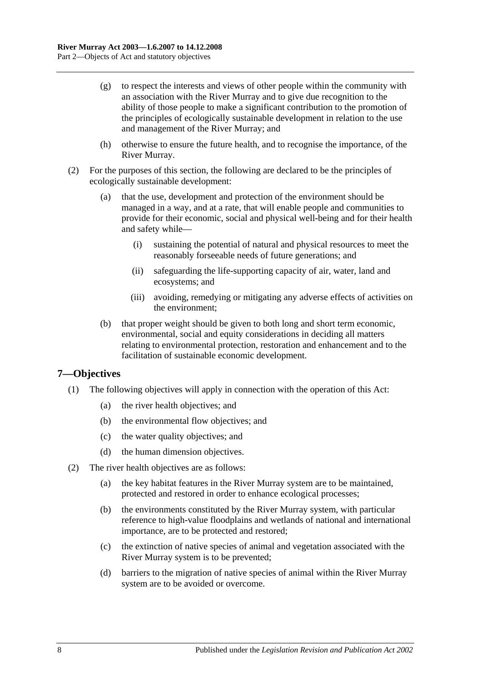- (g) to respect the interests and views of other people within the community with an association with the River Murray and to give due recognition to the ability of those people to make a significant contribution to the promotion of the principles of ecologically sustainable development in relation to the use and management of the River Murray; and
- (h) otherwise to ensure the future health, and to recognise the importance, of the River Murray.
- (2) For the purposes of this section, the following are declared to be the principles of ecologically sustainable development:
	- (a) that the use, development and protection of the environment should be managed in a way, and at a rate, that will enable people and communities to provide for their economic, social and physical well-being and for their health and safety while—
		- (i) sustaining the potential of natural and physical resources to meet the reasonably forseeable needs of future generations; and
		- (ii) safeguarding the life-supporting capacity of air, water, land and ecosystems; and
		- (iii) avoiding, remedying or mitigating any adverse effects of activities on the environment;
	- (b) that proper weight should be given to both long and short term economic, environmental, social and equity considerations in deciding all matters relating to environmental protection, restoration and enhancement and to the facilitation of sustainable economic development.

### <span id="page-7-0"></span>**7—Objectives**

- (1) The following objectives will apply in connection with the operation of this Act:
	- (a) the river health objectives; and
	- (b) the environmental flow objectives; and
	- (c) the water quality objectives; and
	- (d) the human dimension objectives.
- (2) The river health objectives are as follows:
	- (a) the key habitat features in the River Murray system are to be maintained, protected and restored in order to enhance ecological processes;
	- (b) the environments constituted by the River Murray system, with particular reference to high-value floodplains and wetlands of national and international importance, are to be protected and restored;
	- (c) the extinction of native species of animal and vegetation associated with the River Murray system is to be prevented;
	- (d) barriers to the migration of native species of animal within the River Murray system are to be avoided or overcome.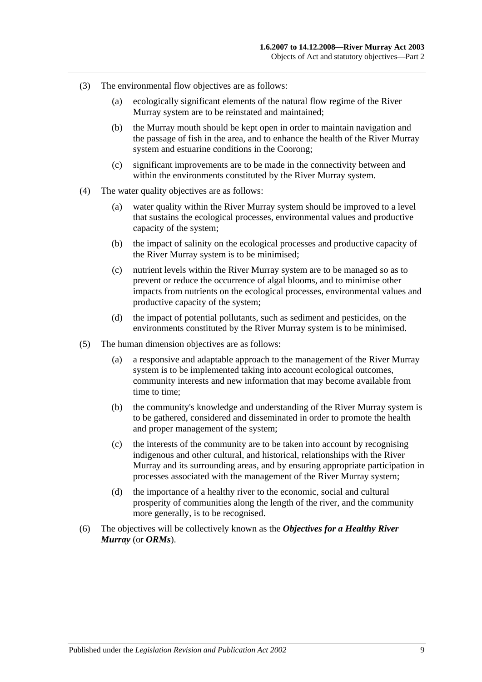- (3) The environmental flow objectives are as follows:
	- (a) ecologically significant elements of the natural flow regime of the River Murray system are to be reinstated and maintained;
	- (b) the Murray mouth should be kept open in order to maintain navigation and the passage of fish in the area, and to enhance the health of the River Murray system and estuarine conditions in the Coorong;
	- (c) significant improvements are to be made in the connectivity between and within the environments constituted by the River Murray system.
- (4) The water quality objectives are as follows:
	- (a) water quality within the River Murray system should be improved to a level that sustains the ecological processes, environmental values and productive capacity of the system;
	- (b) the impact of salinity on the ecological processes and productive capacity of the River Murray system is to be minimised;
	- (c) nutrient levels within the River Murray system are to be managed so as to prevent or reduce the occurrence of algal blooms, and to minimise other impacts from nutrients on the ecological processes, environmental values and productive capacity of the system;
	- (d) the impact of potential pollutants, such as sediment and pesticides, on the environments constituted by the River Murray system is to be minimised.
- (5) The human dimension objectives are as follows:
	- (a) a responsive and adaptable approach to the management of the River Murray system is to be implemented taking into account ecological outcomes, community interests and new information that may become available from time to time;
	- (b) the community's knowledge and understanding of the River Murray system is to be gathered, considered and disseminated in order to promote the health and proper management of the system;
	- (c) the interests of the community are to be taken into account by recognising indigenous and other cultural, and historical, relationships with the River Murray and its surrounding areas, and by ensuring appropriate participation in processes associated with the management of the River Murray system;
	- (d) the importance of a healthy river to the economic, social and cultural prosperity of communities along the length of the river, and the community more generally, is to be recognised.
- (6) The objectives will be collectively known as the *Objectives for a Healthy River Murray* (or *ORMs*).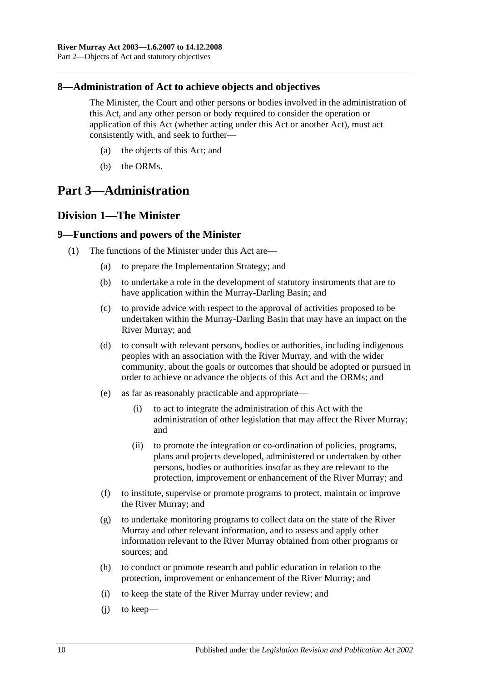### <span id="page-9-0"></span>**8—Administration of Act to achieve objects and objectives**

The Minister, the Court and other persons or bodies involved in the administration of this Act, and any other person or body required to consider the operation or application of this Act (whether acting under this Act or another Act), must act consistently with, and seek to further—

- (a) the objects of this Act; and
- (b) the ORMs.

# <span id="page-9-1"></span>**Part 3—Administration**

# <span id="page-9-2"></span>**Division 1—The Minister**

#### <span id="page-9-3"></span>**9—Functions and powers of the Minister**

- <span id="page-9-4"></span>(1) The functions of the Minister under this Act are—
	- (a) to prepare the Implementation Strategy; and
	- (b) to undertake a role in the development of statutory instruments that are to have application within the Murray-Darling Basin; and
	- (c) to provide advice with respect to the approval of activities proposed to be undertaken within the Murray-Darling Basin that may have an impact on the River Murray; and
	- (d) to consult with relevant persons, bodies or authorities, including indigenous peoples with an association with the River Murray, and with the wider community, about the goals or outcomes that should be adopted or pursued in order to achieve or advance the objects of this Act and the ORMs; and
	- (e) as far as reasonably practicable and appropriate—
		- (i) to act to integrate the administration of this Act with the administration of other legislation that may affect the River Murray; and
		- (ii) to promote the integration or co-ordination of policies, programs, plans and projects developed, administered or undertaken by other persons, bodies or authorities insofar as they are relevant to the protection, improvement or enhancement of the River Murray; and
	- (f) to institute, supervise or promote programs to protect, maintain or improve the River Murray; and
	- (g) to undertake monitoring programs to collect data on the state of the River Murray and other relevant information, and to assess and apply other information relevant to the River Murray obtained from other programs or sources; and
	- (h) to conduct or promote research and public education in relation to the protection, improvement or enhancement of the River Murray; and
	- (i) to keep the state of the River Murray under review; and
	- (j) to keep—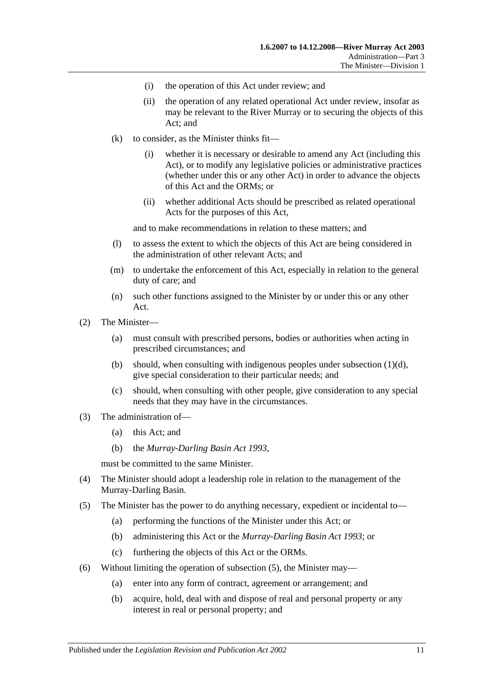- (i) the operation of this Act under review; and
- (ii) the operation of any related operational Act under review, insofar as may be relevant to the River Murray or to securing the objects of this Act; and
- $(k)$  to consider, as the Minister thinks fit—
	- (i) whether it is necessary or desirable to amend any Act (including this Act), or to modify any legislative policies or administrative practices (whether under this or any other Act) in order to advance the objects of this Act and the ORMs; or
	- (ii) whether additional Acts should be prescribed as related operational Acts for the purposes of this Act,

and to make recommendations in relation to these matters; and

- (l) to assess the extent to which the objects of this Act are being considered in the administration of other relevant Acts; and
- (m) to undertake the enforcement of this Act, especially in relation to the general duty of care; and
- (n) such other functions assigned to the Minister by or under this or any other Act.
- (2) The Minister—
	- (a) must consult with prescribed persons, bodies or authorities when acting in prescribed circumstances; and
	- (b) should, when consulting with indigenous peoples under [subsection](#page-9-4)  $(1)(d)$ , give special consideration to their particular needs; and
	- (c) should, when consulting with other people, give consideration to any special needs that they may have in the circumstances.
- (3) The administration of—
	- (a) this Act; and
	- (b) the *[Murray-Darling Basin Act](http://www.legislation.sa.gov.au/index.aspx?action=legref&type=act&legtitle=Murray-Darling%20Basin%20Act%201993) 1993*,

must be committed to the same Minister.

- (4) The Minister should adopt a leadership role in relation to the management of the Murray-Darling Basin.
- <span id="page-10-0"></span>(5) The Minister has the power to do anything necessary, expedient or incidental to—
	- (a) performing the functions of the Minister under this Act; or
	- (b) administering this Act or the *[Murray-Darling Basin Act](http://www.legislation.sa.gov.au/index.aspx?action=legref&type=act&legtitle=Murray-Darling%20Basin%20Act%201993) 1993*; or
	- (c) furthering the objects of this Act or the ORMs.
- (6) Without limiting the operation of [subsection](#page-10-0) (5), the Minister may—
	- (a) enter into any form of contract, agreement or arrangement; and
	- (b) acquire, hold, deal with and dispose of real and personal property or any interest in real or personal property; and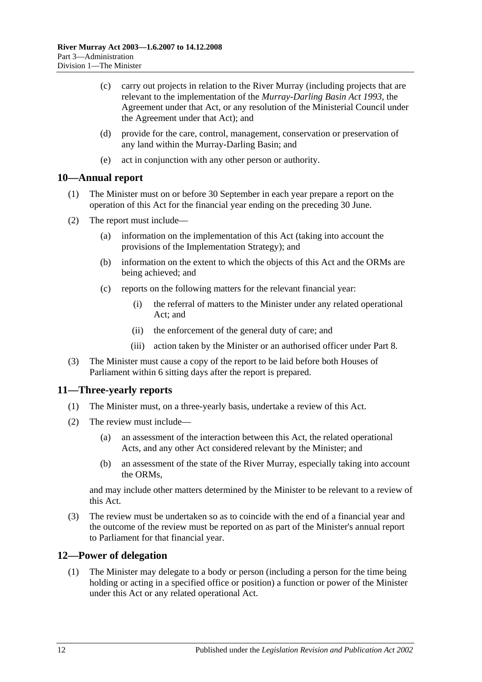- (c) carry out projects in relation to the River Murray (including projects that are relevant to the implementation of the *[Murray-Darling Basin Act](http://www.legislation.sa.gov.au/index.aspx?action=legref&type=act&legtitle=Murray-Darling%20Basin%20Act%201993) 1993*, the Agreement under that Act, or any resolution of the Ministerial Council under the Agreement under that Act); and
- (d) provide for the care, control, management, conservation or preservation of any land within the Murray-Darling Basin; and
- (e) act in conjunction with any other person or authority.

#### <span id="page-11-0"></span>**10—Annual report**

- (1) The Minister must on or before 30 September in each year prepare a report on the operation of this Act for the financial year ending on the preceding 30 June.
- (2) The report must include—
	- (a) information on the implementation of this Act (taking into account the provisions of the Implementation Strategy); and
	- (b) information on the extent to which the objects of this Act and the ORMs are being achieved; and
	- (c) reports on the following matters for the relevant financial year:
		- (i) the referral of matters to the Minister under any related operational Act; and
		- (ii) the enforcement of the general duty of care; and
		- (iii) action taken by the Minister or an authorised officer under [Part 8.](#page-24-0)
- (3) The Minister must cause a copy of the report to be laid before both Houses of Parliament within 6 sitting days after the report is prepared.

### <span id="page-11-1"></span>**11—Three-yearly reports**

- (1) The Minister must, on a three-yearly basis, undertake a review of this Act.
- (2) The review must include—
	- (a) an assessment of the interaction between this Act, the related operational Acts, and any other Act considered relevant by the Minister; and
	- (b) an assessment of the state of the River Murray, especially taking into account the ORMs,

and may include other matters determined by the Minister to be relevant to a review of this Act.

(3) The review must be undertaken so as to coincide with the end of a financial year and the outcome of the review must be reported on as part of the Minister's annual report to Parliament for that financial year.

### <span id="page-11-2"></span>**12—Power of delegation**

(1) The Minister may delegate to a body or person (including a person for the time being holding or acting in a specified office or position) a function or power of the Minister under this Act or any related operational Act.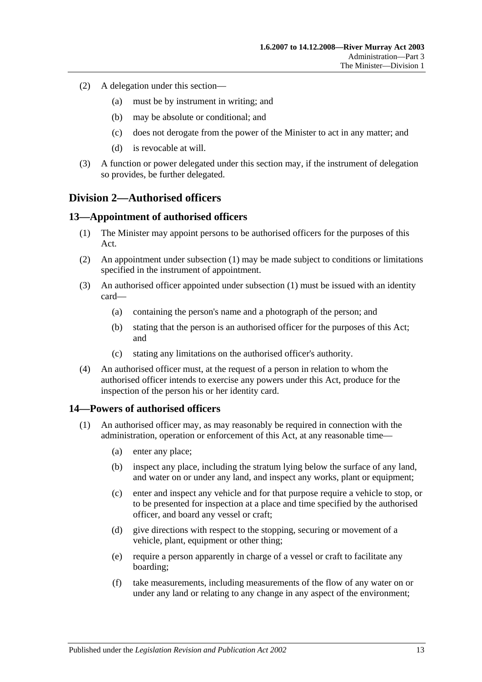- (2) A delegation under this section—
	- (a) must be by instrument in writing; and
	- (b) may be absolute or conditional; and
	- (c) does not derogate from the power of the Minister to act in any matter; and
	- (d) is revocable at will.
- (3) A function or power delegated under this section may, if the instrument of delegation so provides, be further delegated.

### <span id="page-12-0"></span>**Division 2—Authorised officers**

#### <span id="page-12-3"></span><span id="page-12-1"></span>**13—Appointment of authorised officers**

- (1) The Minister may appoint persons to be authorised officers for the purposes of this Act.
- (2) An appointment under [subsection](#page-12-3) (1) may be made subject to conditions or limitations specified in the instrument of appointment.
- (3) An authorised officer appointed under [subsection](#page-12-3) (1) must be issued with an identity card—
	- (a) containing the person's name and a photograph of the person; and
	- (b) stating that the person is an authorised officer for the purposes of this Act; and
	- (c) stating any limitations on the authorised officer's authority.
- (4) An authorised officer must, at the request of a person in relation to whom the authorised officer intends to exercise any powers under this Act, produce for the inspection of the person his or her identity card.

#### <span id="page-12-4"></span><span id="page-12-2"></span>**14—Powers of authorised officers**

- (1) An authorised officer may, as may reasonably be required in connection with the administration, operation or enforcement of this Act, at any reasonable time—
	- (a) enter any place;
	- (b) inspect any place, including the stratum lying below the surface of any land, and water on or under any land, and inspect any works, plant or equipment;
	- (c) enter and inspect any vehicle and for that purpose require a vehicle to stop, or to be presented for inspection at a place and time specified by the authorised officer, and board any vessel or craft;
	- (d) give directions with respect to the stopping, securing or movement of a vehicle, plant, equipment or other thing;
	- (e) require a person apparently in charge of a vessel or craft to facilitate any boarding;
	- (f) take measurements, including measurements of the flow of any water on or under any land or relating to any change in any aspect of the environment;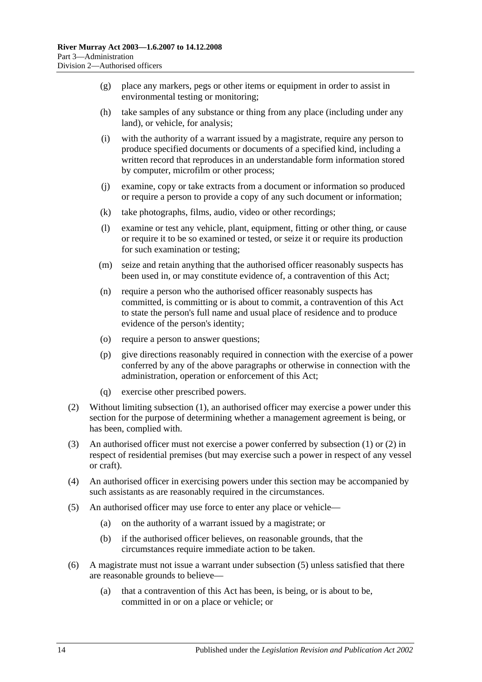- <span id="page-13-2"></span>(g) place any markers, pegs or other items or equipment in order to assist in environmental testing or monitoring;
- (h) take samples of any substance or thing from any place (including under any land), or vehicle, for analysis;
- (i) with the authority of a warrant issued by a magistrate, require any person to produce specified documents or documents of a specified kind, including a written record that reproduces in an understandable form information stored by computer, microfilm or other process;
- (j) examine, copy or take extracts from a document or information so produced or require a person to provide a copy of any such document or information;
- (k) take photographs, films, audio, video or other recordings;
- (l) examine or test any vehicle, plant, equipment, fitting or other thing, or cause or require it to be so examined or tested, or seize it or require its production for such examination or testing;
- (m) seize and retain anything that the authorised officer reasonably suspects has been used in, or may constitute evidence of, a contravention of this Act;
- (n) require a person who the authorised officer reasonably suspects has committed, is committing or is about to commit, a contravention of this Act to state the person's full name and usual place of residence and to produce evidence of the person's identity;
- (o) require a person to answer questions;
- (p) give directions reasonably required in connection with the exercise of a power conferred by any of the above paragraphs or otherwise in connection with the administration, operation or enforcement of this Act;
- (q) exercise other prescribed powers.
- <span id="page-13-0"></span>(2) Without limiting [subsection](#page-12-4) (1), an authorised officer may exercise a power under this section for the purpose of determining whether a management agreement is being, or has been, complied with.
- (3) An authorised officer must not exercise a power conferred by [subsection](#page-12-4) (1) or [\(2\)](#page-13-0) in respect of residential premises (but may exercise such a power in respect of any vessel or craft).
- (4) An authorised officer in exercising powers under this section may be accompanied by such assistants as are reasonably required in the circumstances.
- <span id="page-13-1"></span>(5) An authorised officer may use force to enter any place or vehicle—
	- (a) on the authority of a warrant issued by a magistrate; or
	- (b) if the authorised officer believes, on reasonable grounds, that the circumstances require immediate action to be taken.
- (6) A magistrate must not issue a warrant under [subsection](#page-13-1) (5) unless satisfied that there are reasonable grounds to believe—
	- (a) that a contravention of this Act has been, is being, or is about to be, committed in or on a place or vehicle; or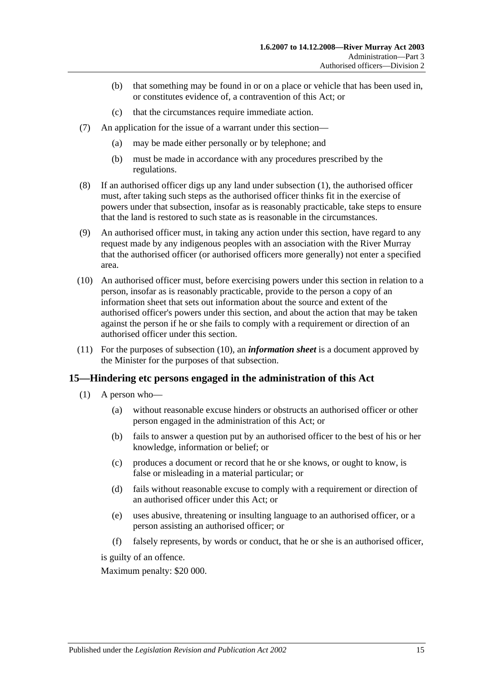- (b) that something may be found in or on a place or vehicle that has been used in, or constitutes evidence of, a contravention of this Act; or
- (c) that the circumstances require immediate action.
- (7) An application for the issue of a warrant under this section—
	- (a) may be made either personally or by telephone; and
	- (b) must be made in accordance with any procedures prescribed by the regulations.
- (8) If an authorised officer digs up any land under [subsection](#page-12-4) (1), the authorised officer must, after taking such steps as the authorised officer thinks fit in the exercise of powers under that subsection, insofar as is reasonably practicable, take steps to ensure that the land is restored to such state as is reasonable in the circumstances.
- (9) An authorised officer must, in taking any action under this section, have regard to any request made by any indigenous peoples with an association with the River Murray that the authorised officer (or authorised officers more generally) not enter a specified area.
- <span id="page-14-1"></span>(10) An authorised officer must, before exercising powers under this section in relation to a person, insofar as is reasonably practicable, provide to the person a copy of an information sheet that sets out information about the source and extent of the authorised officer's powers under this section, and about the action that may be taken against the person if he or she fails to comply with a requirement or direction of an authorised officer under this section.
- (11) For the purposes of [subsection](#page-14-1) (10), an *information sheet* is a document approved by the Minister for the purposes of that subsection.

#### <span id="page-14-0"></span>**15—Hindering etc persons engaged in the administration of this Act**

- (1) A person who—
	- (a) without reasonable excuse hinders or obstructs an authorised officer or other person engaged in the administration of this Act; or
	- (b) fails to answer a question put by an authorised officer to the best of his or her knowledge, information or belief; or
	- (c) produces a document or record that he or she knows, or ought to know, is false or misleading in a material particular; or
	- (d) fails without reasonable excuse to comply with a requirement or direction of an authorised officer under this Act; or
	- (e) uses abusive, threatening or insulting language to an authorised officer, or a person assisting an authorised officer; or
	- (f) falsely represents, by words or conduct, that he or she is an authorised officer,

is guilty of an offence.

Maximum penalty: \$20 000.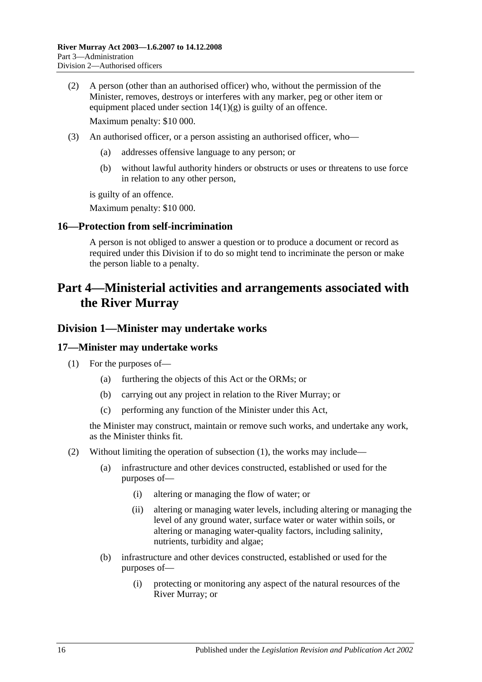- (2) A person (other than an authorised officer) who, without the permission of the Minister, removes, destroys or interferes with any marker, peg or other item or equipment placed under section  $14(1)(g)$  is guilty of an offence. Maximum penalty: \$10 000.
- (3) An authorised officer, or a person assisting an authorised officer, who—
	- (a) addresses offensive language to any person; or
	- (b) without lawful authority hinders or obstructs or uses or threatens to use force in relation to any other person,

is guilty of an offence.

Maximum penalty: \$10 000.

#### <span id="page-15-0"></span>**16—Protection from self-incrimination**

A person is not obliged to answer a question or to produce a document or record as required under this Division if to do so might tend to incriminate the person or make the person liable to a penalty.

# <span id="page-15-1"></span>**Part 4—Ministerial activities and arrangements associated with the River Murray**

#### <span id="page-15-2"></span>**Division 1—Minister may undertake works**

#### <span id="page-15-4"></span><span id="page-15-3"></span>**17—Minister may undertake works**

- (1) For the purposes of—
	- (a) furthering the objects of this Act or the ORMs; or
	- (b) carrying out any project in relation to the River Murray; or
	- (c) performing any function of the Minister under this Act,

the Minister may construct, maintain or remove such works, and undertake any work, as the Minister thinks fit.

- <span id="page-15-5"></span>(2) Without limiting the operation of [subsection](#page-15-4) (1), the works may include—
	- (a) infrastructure and other devices constructed, established or used for the purposes of—
		- (i) altering or managing the flow of water; or
		- (ii) altering or managing water levels, including altering or managing the level of any ground water, surface water or water within soils, or altering or managing water-quality factors, including salinity, nutrients, turbidity and algae;
	- (b) infrastructure and other devices constructed, established or used for the purposes of—
		- (i) protecting or monitoring any aspect of the natural resources of the River Murray; or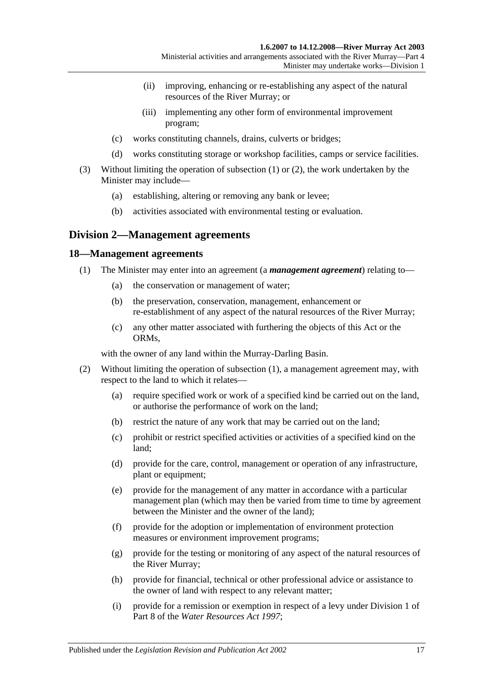- (ii) improving, enhancing or re-establishing any aspect of the natural resources of the River Murray; or
- (iii) implementing any other form of environmental improvement program;
- (c) works constituting channels, drains, culverts or bridges;
- (d) works constituting storage or workshop facilities, camps or service facilities.
- (3) Without limiting the operation of [subsection](#page-15-4) (1) or [\(2\),](#page-15-5) the work undertaken by the Minister may include—
	- (a) establishing, altering or removing any bank or levee;
	- (b) activities associated with environmental testing or evaluation.

### <span id="page-16-0"></span>**Division 2—Management agreements**

#### <span id="page-16-2"></span><span id="page-16-1"></span>**18—Management agreements**

- (1) The Minister may enter into an agreement (a *management agreement*) relating to—
	- (a) the conservation or management of water;
	- (b) the preservation, conservation, management, enhancement or re-establishment of any aspect of the natural resources of the River Murray;
	- (c) any other matter associated with furthering the objects of this Act or the ORMs,

with the owner of any land within the Murray-Darling Basin.

- <span id="page-16-3"></span>(2) Without limiting the operation of [subsection](#page-16-2) (1), a management agreement may, with respect to the land to which it relates—
	- (a) require specified work or work of a specified kind be carried out on the land, or authorise the performance of work on the land;
	- (b) restrict the nature of any work that may be carried out on the land;
	- (c) prohibit or restrict specified activities or activities of a specified kind on the land;
	- (d) provide for the care, control, management or operation of any infrastructure, plant or equipment;
	- (e) provide for the management of any matter in accordance with a particular management plan (which may then be varied from time to time by agreement between the Minister and the owner of the land);
	- (f) provide for the adoption or implementation of environment protection measures or environment improvement programs;
	- (g) provide for the testing or monitoring of any aspect of the natural resources of the River Murray;
	- (h) provide for financial, technical or other professional advice or assistance to the owner of land with respect to any relevant matter;
	- (i) provide for a remission or exemption in respect of a levy under Division 1 of Part 8 of the *[Water Resources Act](http://www.legislation.sa.gov.au/index.aspx?action=legref&type=act&legtitle=Water%20Resources%20Act%201997) 1997*;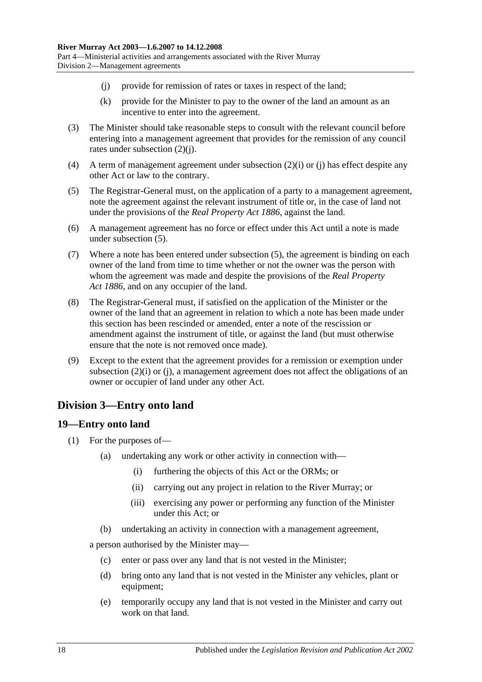- <span id="page-17-2"></span>(j) provide for remission of rates or taxes in respect of the land;
- (k) provide for the Minister to pay to the owner of the land an amount as an incentive to enter into the agreement.
- (3) The Minister should take reasonable steps to consult with the relevant council before entering into a management agreement that provides for the remission of any council rates under [subsection](#page-17-2) (2)(j).
- (4) A term of management agreement under [subsection](#page-16-3) (2)(i) or [\(j\)](#page-17-2) has effect despite any other Act or law to the contrary.
- <span id="page-17-3"></span>(5) The Registrar-General must, on the application of a party to a management agreement, note the agreement against the relevant instrument of title or, in the case of land not under the provisions of the *[Real Property Act](http://www.legislation.sa.gov.au/index.aspx?action=legref&type=act&legtitle=Real%20Property%20Act%201886) 1886*, against the land.
- (6) A management agreement has no force or effect under this Act until a note is made under [subsection](#page-17-3) (5).
- (7) Where a note has been entered under [subsection](#page-17-3) (5), the agreement is binding on each owner of the land from time to time whether or not the owner was the person with whom the agreement was made and despite the provisions of the *[Real Property](http://www.legislation.sa.gov.au/index.aspx?action=legref&type=act&legtitle=Real%20Property%20Act%201886)  Act [1886](http://www.legislation.sa.gov.au/index.aspx?action=legref&type=act&legtitle=Real%20Property%20Act%201886)*, and on any occupier of the land.
- (8) The Registrar-General must, if satisfied on the application of the Minister or the owner of the land that an agreement in relation to which a note has been made under this section has been rescinded or amended, enter a note of the rescission or amendment against the instrument of title, or against the land (but must otherwise ensure that the note is not removed once made).
- (9) Except to the extent that the agreement provides for a remission or exemption under [subsection](#page-16-3) (2)(i) or [\(j\),](#page-17-2) a management agreement does not affect the obligations of an owner or occupier of land under any other Act.

# <span id="page-17-0"></span>**Division 3—Entry onto land**

### <span id="page-17-4"></span><span id="page-17-1"></span>**19—Entry onto land**

- (1) For the purposes of—
	- (a) undertaking any work or other activity in connection with—
		- (i) furthering the objects of this Act or the ORMs; or
		- (ii) carrying out any project in relation to the River Murray; or
		- (iii) exercising any power or performing any function of the Minister under this Act; or
	- (b) undertaking an activity in connection with a management agreement,

a person authorised by the Minister may—

- (c) enter or pass over any land that is not vested in the Minister;
- (d) bring onto any land that is not vested in the Minister any vehicles, plant or equipment;
- (e) temporarily occupy any land that is not vested in the Minister and carry out work on that land.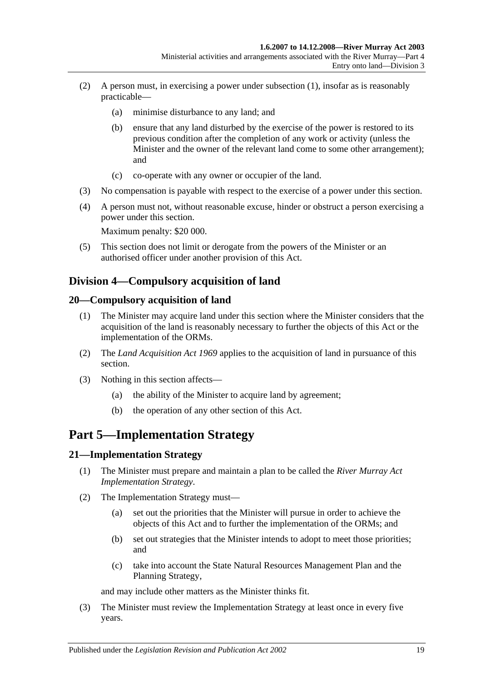- (2) A person must, in exercising a power under [subsection](#page-17-4) (1), insofar as is reasonably practicable—
	- (a) minimise disturbance to any land; and
	- (b) ensure that any land disturbed by the exercise of the power is restored to its previous condition after the completion of any work or activity (unless the Minister and the owner of the relevant land come to some other arrangement); and
	- (c) co-operate with any owner or occupier of the land.
- (3) No compensation is payable with respect to the exercise of a power under this section.
- (4) A person must not, without reasonable excuse, hinder or obstruct a person exercising a power under this section.

Maximum penalty: \$20 000.

(5) This section does not limit or derogate from the powers of the Minister or an authorised officer under another provision of this Act.

# <span id="page-18-0"></span>**Division 4—Compulsory acquisition of land**

### <span id="page-18-1"></span>**20—Compulsory acquisition of land**

- (1) The Minister may acquire land under this section where the Minister considers that the acquisition of the land is reasonably necessary to further the objects of this Act or the implementation of the ORMs.
- (2) The *[Land Acquisition Act](http://www.legislation.sa.gov.au/index.aspx?action=legref&type=act&legtitle=Land%20Acquisition%20Act%201969) 1969* applies to the acquisition of land in pursuance of this section.
- (3) Nothing in this section affects—
	- (a) the ability of the Minister to acquire land by agreement;
	- (b) the operation of any other section of this Act.

# <span id="page-18-2"></span>**Part 5—Implementation Strategy**

#### <span id="page-18-3"></span>**21—Implementation Strategy**

- (1) The Minister must prepare and maintain a plan to be called the *River Murray Act Implementation Strategy*.
- (2) The Implementation Strategy must—
	- (a) set out the priorities that the Minister will pursue in order to achieve the objects of this Act and to further the implementation of the ORMs; and
	- (b) set out strategies that the Minister intends to adopt to meet those priorities; and
	- (c) take into account the State Natural Resources Management Plan and the Planning Strategy,

and may include other matters as the Minister thinks fit.

(3) The Minister must review the Implementation Strategy at least once in every five years.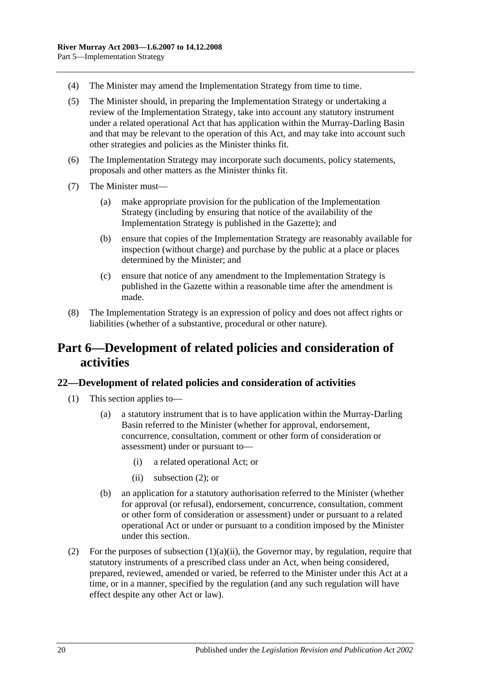- (4) The Minister may amend the Implementation Strategy from time to time.
- (5) The Minister should, in preparing the Implementation Strategy or undertaking a review of the Implementation Strategy, take into account any statutory instrument under a related operational Act that has application within the Murray-Darling Basin and that may be relevant to the operation of this Act, and may take into account such other strategies and policies as the Minister thinks fit.
- (6) The Implementation Strategy may incorporate such documents, policy statements, proposals and other matters as the Minister thinks fit.
- (7) The Minister must—
	- (a) make appropriate provision for the publication of the Implementation Strategy (including by ensuring that notice of the availability of the Implementation Strategy is published in the Gazette); and
	- (b) ensure that copies of the Implementation Strategy are reasonably available for inspection (without charge) and purchase by the public at a place or places determined by the Minister; and
	- (c) ensure that notice of any amendment to the Implementation Strategy is published in the Gazette within a reasonable time after the amendment is made.
- (8) The Implementation Strategy is an expression of policy and does not affect rights or liabilities (whether of a substantive, procedural or other nature).

# <span id="page-19-0"></span>**Part 6—Development of related policies and consideration of activities**

### <span id="page-19-1"></span>**22—Development of related policies and consideration of activities**

- <span id="page-19-3"></span>(1) This section applies to—
	- (a) a statutory instrument that is to have application within the Murray-Darling Basin referred to the Minister (whether for approval, endorsement, concurrence, consultation, comment or other form of consideration or assessment) under or pursuant to—
		- (i) a related operational Act; or
		- (ii) [subsection](#page-19-2) (2); or
	- (b) an application for a statutory authorisation referred to the Minister (whether for approval (or refusal), endorsement, concurrence, consultation, comment or other form of consideration or assessment) under or pursuant to a related operational Act or under or pursuant to a condition imposed by the Minister under this section.
- <span id="page-19-2"></span>(2) For the purposes of [subsection](#page-19-3)  $(1)(a)(ii)$ , the Governor may, by regulation, require that statutory instruments of a prescribed class under an Act, when being considered, prepared, reviewed, amended or varied, be referred to the Minister under this Act at a time, or in a manner, specified by the regulation (and any such regulation will have effect despite any other Act or law).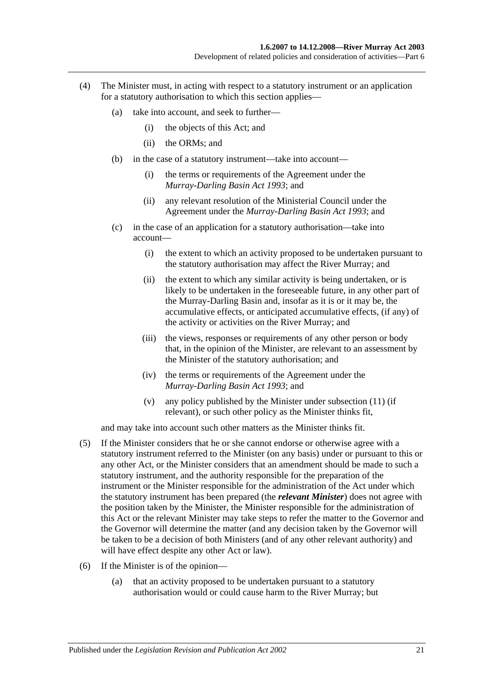- (4) The Minister must, in acting with respect to a statutory instrument or an application for a statutory authorisation to which this section applies—
	- (a) take into account, and seek to further—
		- (i) the objects of this Act; and
		- (ii) the ORMs; and
	- (b) in the case of a statutory instrument—take into account—
		- (i) the terms or requirements of the Agreement under the *[Murray-Darling Basin Act](http://www.legislation.sa.gov.au/index.aspx?action=legref&type=act&legtitle=Murray-Darling%20Basin%20Act%201993) 1993*; and
		- (ii) any relevant resolution of the Ministerial Council under the Agreement under the *[Murray-Darling Basin Act](http://www.legislation.sa.gov.au/index.aspx?action=legref&type=act&legtitle=Murray-Darling%20Basin%20Act%201993) 1993*; and
	- (c) in the case of an application for a statutory authorisation—take into account—
		- (i) the extent to which an activity proposed to be undertaken pursuant to the statutory authorisation may affect the River Murray; and
		- (ii) the extent to which any similar activity is being undertaken, or is likely to be undertaken in the foreseeable future, in any other part of the Murray-Darling Basin and, insofar as it is or it may be, the accumulative effects, or anticipated accumulative effects, (if any) of the activity or activities on the River Murray; and
		- (iii) the views, responses or requirements of any other person or body that, in the opinion of the Minister, are relevant to an assessment by the Minister of the statutory authorisation; and
		- (iv) the terms or requirements of the Agreement under the *[Murray-Darling Basin Act](http://www.legislation.sa.gov.au/index.aspx?action=legref&type=act&legtitle=Murray-Darling%20Basin%20Act%201993) 1993*; and
		- (v) any policy published by the Minister under [subsection](#page-22-0) (11) (if relevant), or such other policy as the Minister thinks fit,

and may take into account such other matters as the Minister thinks fit.

- (5) If the Minister considers that he or she cannot endorse or otherwise agree with a statutory instrument referred to the Minister (on any basis) under or pursuant to this or any other Act, or the Minister considers that an amendment should be made to such a statutory instrument, and the authority responsible for the preparation of the instrument or the Minister responsible for the administration of the Act under which the statutory instrument has been prepared (the *relevant Minister*) does not agree with the position taken by the Minister, the Minister responsible for the administration of this Act or the relevant Minister may take steps to refer the matter to the Governor and the Governor will determine the matter (and any decision taken by the Governor will be taken to be a decision of both Ministers (and of any other relevant authority) and will have effect despite any other Act or law).
- (6) If the Minister is of the opinion—
	- (a) that an activity proposed to be undertaken pursuant to a statutory authorisation would or could cause harm to the River Murray; but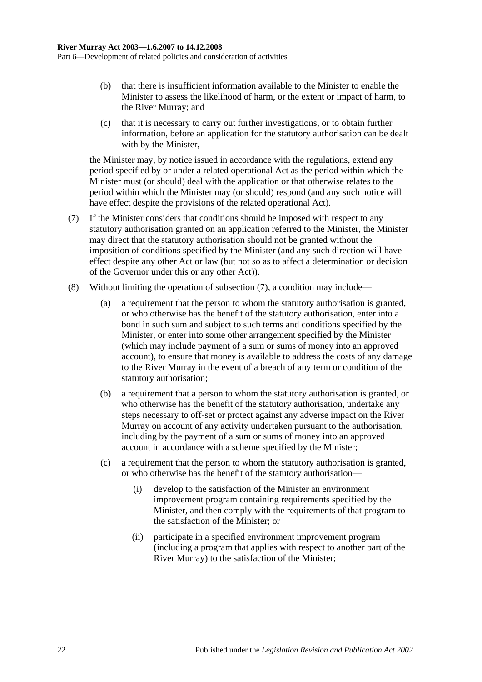- (b) that there is insufficient information available to the Minister to enable the Minister to assess the likelihood of harm, or the extent or impact of harm, to the River Murray; and
- (c) that it is necessary to carry out further investigations, or to obtain further information, before an application for the statutory authorisation can be dealt with by the Minister,

the Minister may, by notice issued in accordance with the regulations, extend any period specified by or under a related operational Act as the period within which the Minister must (or should) deal with the application or that otherwise relates to the period within which the Minister may (or should) respond (and any such notice will have effect despite the provisions of the related operational Act).

- <span id="page-21-0"></span>(7) If the Minister considers that conditions should be imposed with respect to any statutory authorisation granted on an application referred to the Minister, the Minister may direct that the statutory authorisation should not be granted without the imposition of conditions specified by the Minister (and any such direction will have effect despite any other Act or law (but not so as to affect a determination or decision of the Governor under this or any other Act)).
- (8) Without limiting the operation of [subsection](#page-21-0) (7), a condition may include—
	- (a) a requirement that the person to whom the statutory authorisation is granted, or who otherwise has the benefit of the statutory authorisation, enter into a bond in such sum and subject to such terms and conditions specified by the Minister, or enter into some other arrangement specified by the Minister (which may include payment of a sum or sums of money into an approved account), to ensure that money is available to address the costs of any damage to the River Murray in the event of a breach of any term or condition of the statutory authorisation;
	- (b) a requirement that a person to whom the statutory authorisation is granted, or who otherwise has the benefit of the statutory authorisation, undertake any steps necessary to off-set or protect against any adverse impact on the River Murray on account of any activity undertaken pursuant to the authorisation, including by the payment of a sum or sums of money into an approved account in accordance with a scheme specified by the Minister;
	- (c) a requirement that the person to whom the statutory authorisation is granted, or who otherwise has the benefit of the statutory authorisation—
		- (i) develop to the satisfaction of the Minister an environment improvement program containing requirements specified by the Minister, and then comply with the requirements of that program to the satisfaction of the Minister; or
		- (ii) participate in a specified environment improvement program (including a program that applies with respect to another part of the River Murray) to the satisfaction of the Minister;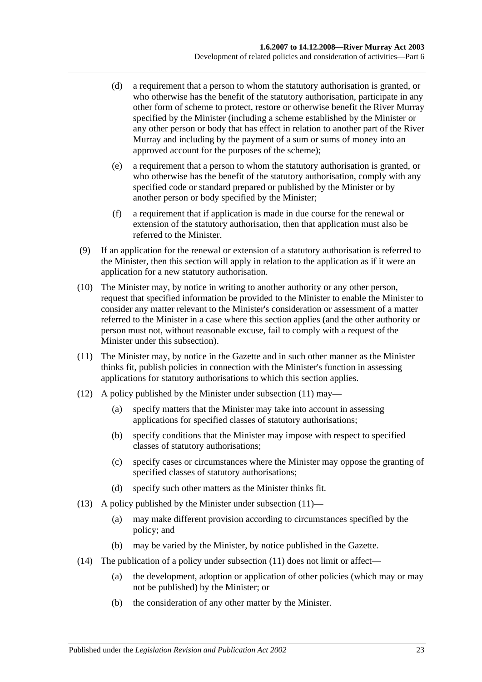- (d) a requirement that a person to whom the statutory authorisation is granted, or who otherwise has the benefit of the statutory authorisation, participate in any other form of scheme to protect, restore or otherwise benefit the River Murray specified by the Minister (including a scheme established by the Minister or any other person or body that has effect in relation to another part of the River Murray and including by the payment of a sum or sums of money into an approved account for the purposes of the scheme);
- (e) a requirement that a person to whom the statutory authorisation is granted, or who otherwise has the benefit of the statutory authorisation, comply with any specified code or standard prepared or published by the Minister or by another person or body specified by the Minister;
- (f) a requirement that if application is made in due course for the renewal or extension of the statutory authorisation, then that application must also be referred to the Minister.
- (9) If an application for the renewal or extension of a statutory authorisation is referred to the Minister, then this section will apply in relation to the application as if it were an application for a new statutory authorisation.
- (10) The Minister may, by notice in writing to another authority or any other person, request that specified information be provided to the Minister to enable the Minister to consider any matter relevant to the Minister's consideration or assessment of a matter referred to the Minister in a case where this section applies (and the other authority or person must not, without reasonable excuse, fail to comply with a request of the Minister under this subsection).
- <span id="page-22-0"></span>(11) The Minister may, by notice in the Gazette and in such other manner as the Minister thinks fit, publish policies in connection with the Minister's function in assessing applications for statutory authorisations to which this section applies.
- <span id="page-22-2"></span>(12) A policy published by the Minister under [subsection](#page-22-0) (11) may—
	- (a) specify matters that the Minister may take into account in assessing applications for specified classes of statutory authorisations;
	- (b) specify conditions that the Minister may impose with respect to specified classes of statutory authorisations;
	- (c) specify cases or circumstances where the Minister may oppose the granting of specified classes of statutory authorisations;
	- (d) specify such other matters as the Minister thinks fit.
- <span id="page-22-1"></span>(13) A policy published by the Minister under [subsection](#page-22-0)  $(11)$ —
	- (a) may make different provision according to circumstances specified by the policy; and
	- (b) may be varied by the Minister, by notice published in the Gazette.
- (14) The publication of a policy under [subsection](#page-22-0) (11) does not limit or affect—
	- (a) the development, adoption or application of other policies (which may or may not be published) by the Minister; or
	- (b) the consideration of any other matter by the Minister.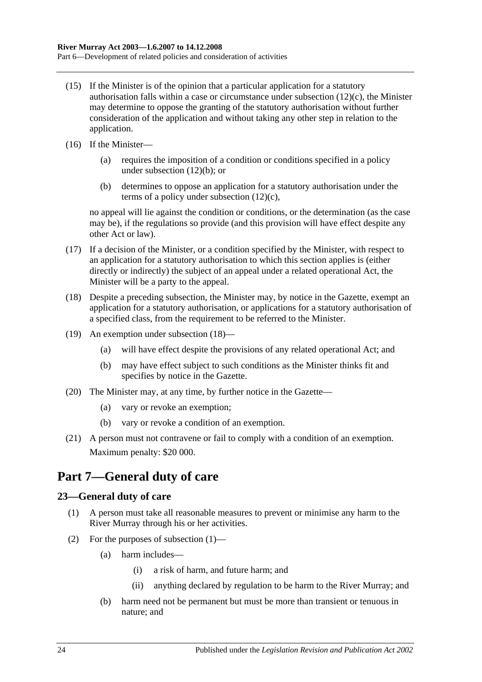- (15) If the Minister is of the opinion that a particular application for a statutory authorisation falls within a case or circumstance under [subsection](#page-22-1)  $(12)(c)$ , the Minister may determine to oppose the granting of the statutory authorisation without further consideration of the application and without taking any other step in relation to the application.
- (16) If the Minister—
	- (a) requires the imposition of a condition or conditions specified in a policy under [subsection](#page-22-2) (12)(b); or
	- (b) determines to oppose an application for a statutory authorisation under the terms of a policy under [subsection](#page-22-1) (12)(c),

no appeal will lie against the condition or conditions, or the determination (as the case may be), if the regulations so provide (and this provision will have effect despite any other Act or law).

- (17) If a decision of the Minister, or a condition specified by the Minister, with respect to an application for a statutory authorisation to which this section applies is (either directly or indirectly) the subject of an appeal under a related operational Act, the Minister will be a party to the appeal.
- <span id="page-23-2"></span>(18) Despite a preceding subsection, the Minister may, by notice in the Gazette, exempt an application for a statutory authorisation, or applications for a statutory authorisation of a specified class, from the requirement to be referred to the Minister.
- (19) An exemption under [subsection](#page-23-2) (18)—
	- (a) will have effect despite the provisions of any related operational Act; and
	- (b) may have effect subject to such conditions as the Minister thinks fit and specifies by notice in the Gazette.
- (20) The Minister may, at any time, by further notice in the Gazette—
	- (a) vary or revoke an exemption;
	- (b) vary or revoke a condition of an exemption.
- (21) A person must not contravene or fail to comply with a condition of an exemption. Maximum penalty: \$20 000.

# <span id="page-23-0"></span>**Part 7—General duty of care**

### <span id="page-23-3"></span><span id="page-23-1"></span>**23—General duty of care**

- (1) A person must take all reasonable measures to prevent or minimise any harm to the River Murray through his or her activities.
- (2) For the purposes of [subsection](#page-23-3) (1)—
	- (a) harm includes—
		- (i) a risk of harm, and future harm; and
		- (ii) anything declared by regulation to be harm to the River Murray; and
	- (b) harm need not be permanent but must be more than transient or tenuous in nature; and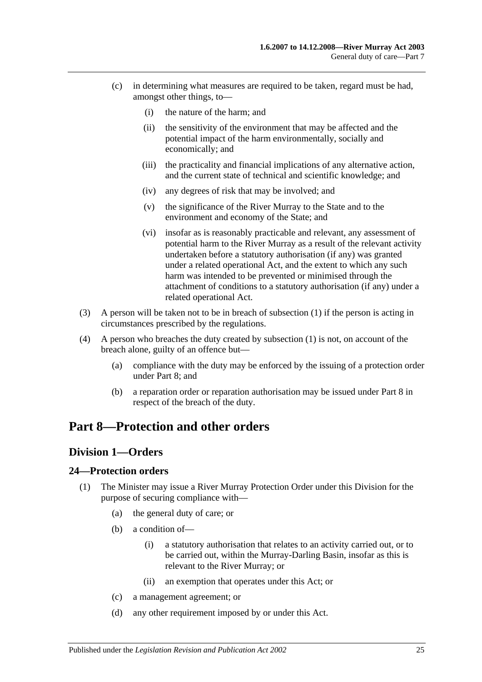- (c) in determining what measures are required to be taken, regard must be had, amongst other things, to—
	- (i) the nature of the harm; and
	- (ii) the sensitivity of the environment that may be affected and the potential impact of the harm environmentally, socially and economically; and
	- (iii) the practicality and financial implications of any alternative action, and the current state of technical and scientific knowledge; and
	- (iv) any degrees of risk that may be involved; and
	- (v) the significance of the River Murray to the State and to the environment and economy of the State; and
	- (vi) insofar as is reasonably practicable and relevant, any assessment of potential harm to the River Murray as a result of the relevant activity undertaken before a statutory authorisation (if any) was granted under a related operational Act, and the extent to which any such harm was intended to be prevented or minimised through the attachment of conditions to a statutory authorisation (if any) under a related operational Act.
- (3) A person will be taken not to be in breach of [subsection](#page-23-3) (1) if the person is acting in circumstances prescribed by the regulations.
- (4) A person who breaches the duty created by [subsection](#page-23-3) (1) is not, on account of the breach alone, guilty of an offence but—
	- (a) compliance with the duty may be enforced by the issuing of a protection order under [Part 8;](#page-24-0) and
	- (b) a reparation order or reparation authorisation may be issued under [Part 8](#page-24-0) in respect of the breach of the duty.

# <span id="page-24-1"></span><span id="page-24-0"></span>**Part 8—Protection and other orders**

### **Division 1—Orders**

### <span id="page-24-2"></span>**24—Protection orders**

- (1) The Minister may issue a River Murray Protection Order under this Division for the purpose of securing compliance with—
	- (a) the general duty of care; or
	- (b) a condition of—
		- (i) a statutory authorisation that relates to an activity carried out, or to be carried out, within the Murray-Darling Basin, insofar as this is relevant to the River Murray; or
		- (ii) an exemption that operates under this Act; or
	- (c) a management agreement; or
	- (d) any other requirement imposed by or under this Act.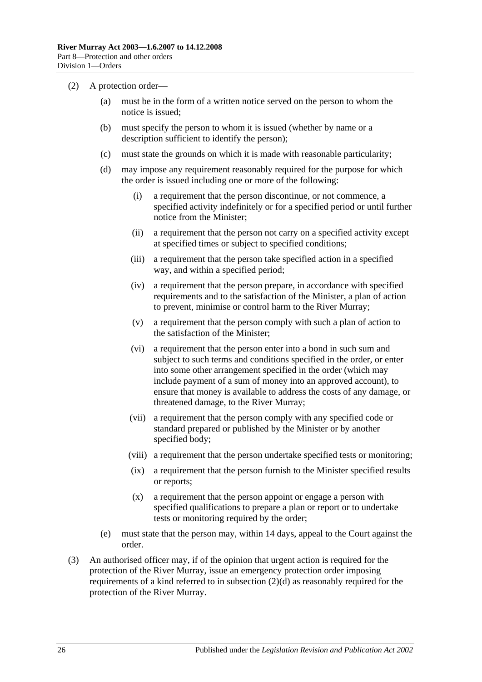- <span id="page-25-0"></span>(2) A protection order—
	- (a) must be in the form of a written notice served on the person to whom the notice is issued;
	- (b) must specify the person to whom it is issued (whether by name or a description sufficient to identify the person);
	- (c) must state the grounds on which it is made with reasonable particularity;
	- (d) may impose any requirement reasonably required for the purpose for which the order is issued including one or more of the following:
		- (i) a requirement that the person discontinue, or not commence, a specified activity indefinitely or for a specified period or until further notice from the Minister;
		- (ii) a requirement that the person not carry on a specified activity except at specified times or subject to specified conditions;
		- (iii) a requirement that the person take specified action in a specified way, and within a specified period;
		- (iv) a requirement that the person prepare, in accordance with specified requirements and to the satisfaction of the Minister, a plan of action to prevent, minimise or control harm to the River Murray;
		- (v) a requirement that the person comply with such a plan of action to the satisfaction of the Minister;
		- (vi) a requirement that the person enter into a bond in such sum and subject to such terms and conditions specified in the order, or enter into some other arrangement specified in the order (which may include payment of a sum of money into an approved account), to ensure that money is available to address the costs of any damage, or threatened damage, to the River Murray;
		- (vii) a requirement that the person comply with any specified code or standard prepared or published by the Minister or by another specified body;
		- (viii) a requirement that the person undertake specified tests or monitoring;
		- (ix) a requirement that the person furnish to the Minister specified results or reports;
		- (x) a requirement that the person appoint or engage a person with specified qualifications to prepare a plan or report or to undertake tests or monitoring required by the order;
	- (e) must state that the person may, within 14 days, appeal to the Court against the order.
- (3) An authorised officer may, if of the opinion that urgent action is required for the protection of the River Murray, issue an emergency protection order imposing requirements of a kind referred to in [subsection](#page-25-0)  $(2)(d)$  as reasonably required for the protection of the River Murray.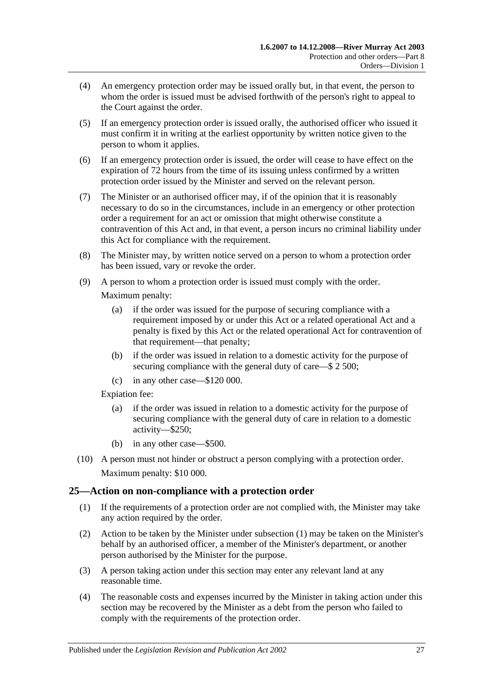- (4) An emergency protection order may be issued orally but, in that event, the person to whom the order is issued must be advised forthwith of the person's right to appeal to the Court against the order.
- (5) If an emergency protection order is issued orally, the authorised officer who issued it must confirm it in writing at the earliest opportunity by written notice given to the person to whom it applies.
- (6) If an emergency protection order is issued, the order will cease to have effect on the expiration of 72 hours from the time of its issuing unless confirmed by a written protection order issued by the Minister and served on the relevant person.
- (7) The Minister or an authorised officer may, if of the opinion that it is reasonably necessary to do so in the circumstances, include in an emergency or other protection order a requirement for an act or omission that might otherwise constitute a contravention of this Act and, in that event, a person incurs no criminal liability under this Act for compliance with the requirement.
- (8) The Minister may, by written notice served on a person to whom a protection order has been issued, vary or revoke the order.
- (9) A person to whom a protection order is issued must comply with the order.

Maximum penalty:

- (a) if the order was issued for the purpose of securing compliance with a requirement imposed by or under this Act or a related operational Act and a penalty is fixed by this Act or the related operational Act for contravention of that requirement—that penalty;
- (b) if the order was issued in relation to a domestic activity for the purpose of securing compliance with the general duty of care—\$ 2 500;
- (c) in any other case—\$120 000.

Expiation fee:

- (a) if the order was issued in relation to a domestic activity for the purpose of securing compliance with the general duty of care in relation to a domestic activity—\$250;
- (b) in any other case—\$500.
- (10) A person must not hinder or obstruct a person complying with a protection order. Maximum penalty: \$10 000.

# <span id="page-26-1"></span><span id="page-26-0"></span>**25—Action on non-compliance with a protection order**

- (1) If the requirements of a protection order are not complied with, the Minister may take any action required by the order.
- (2) Action to be taken by the Minister under [subsection](#page-26-1) (1) may be taken on the Minister's behalf by an authorised officer, a member of the Minister's department, or another person authorised by the Minister for the purpose.
- (3) A person taking action under this section may enter any relevant land at any reasonable time.
- (4) The reasonable costs and expenses incurred by the Minister in taking action under this section may be recovered by the Minister as a debt from the person who failed to comply with the requirements of the protection order.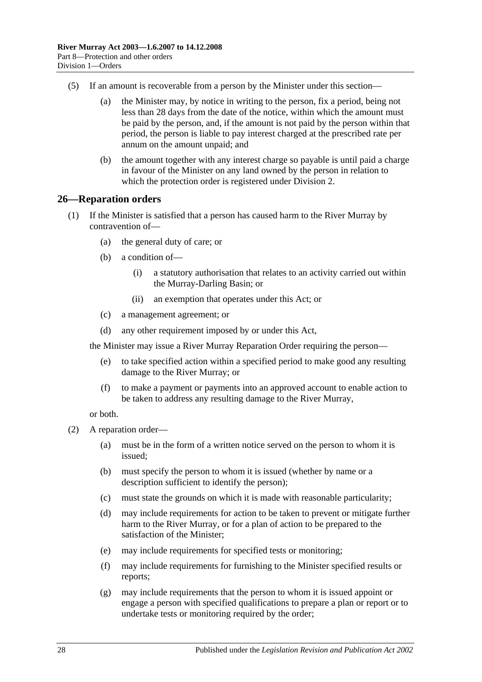- (5) If an amount is recoverable from a person by the Minister under this section—
	- (a) the Minister may, by notice in writing to the person, fix a period, being not less than 28 days from the date of the notice, within which the amount must be paid by the person, and, if the amount is not paid by the person within that period, the person is liable to pay interest charged at the prescribed rate per annum on the amount unpaid; and
	- (b) the amount together with any interest charge so payable is until paid a charge in favour of the Minister on any land owned by the person in relation to which the protection order is registered under [Division 2.](#page-31-1)

#### <span id="page-27-0"></span>**26—Reparation orders**

- (1) If the Minister is satisfied that a person has caused harm to the River Murray by contravention of—
	- (a) the general duty of care; or
	- (b) a condition of—
		- (i) a statutory authorisation that relates to an activity carried out within the Murray-Darling Basin; or
		- (ii) an exemption that operates under this Act; or
	- (c) a management agreement; or
	- (d) any other requirement imposed by or under this Act,

the Minister may issue a River Murray Reparation Order requiring the person—

- (e) to take specified action within a specified period to make good any resulting damage to the River Murray; or
- (f) to make a payment or payments into an approved account to enable action to be taken to address any resulting damage to the River Murray,

or both.

- <span id="page-27-1"></span>(2) A reparation order—
	- (a) must be in the form of a written notice served on the person to whom it is issued;
	- (b) must specify the person to whom it is issued (whether by name or a description sufficient to identify the person);
	- (c) must state the grounds on which it is made with reasonable particularity;
	- (d) may include requirements for action to be taken to prevent or mitigate further harm to the River Murray, or for a plan of action to be prepared to the satisfaction of the Minister;
	- (e) may include requirements for specified tests or monitoring;
	- (f) may include requirements for furnishing to the Minister specified results or reports;
	- (g) may include requirements that the person to whom it is issued appoint or engage a person with specified qualifications to prepare a plan or report or to undertake tests or monitoring required by the order;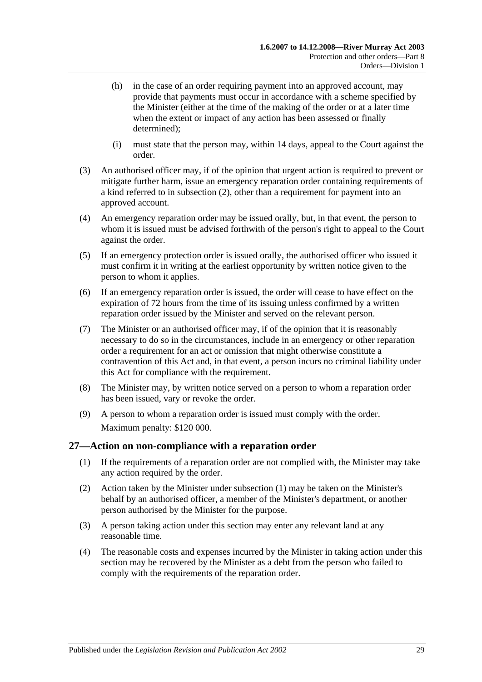- (h) in the case of an order requiring payment into an approved account, may provide that payments must occur in accordance with a scheme specified by the Minister (either at the time of the making of the order or at a later time when the extent or impact of any action has been assessed or finally determined);
- (i) must state that the person may, within 14 days, appeal to the Court against the order.
- (3) An authorised officer may, if of the opinion that urgent action is required to prevent or mitigate further harm, issue an emergency reparation order containing requirements of a kind referred to in [subsection](#page-27-1) (2), other than a requirement for payment into an approved account.
- (4) An emergency reparation order may be issued orally, but, in that event, the person to whom it is issued must be advised forthwith of the person's right to appeal to the Court against the order.
- (5) If an emergency protection order is issued orally, the authorised officer who issued it must confirm it in writing at the earliest opportunity by written notice given to the person to whom it applies.
- (6) If an emergency reparation order is issued, the order will cease to have effect on the expiration of 72 hours from the time of its issuing unless confirmed by a written reparation order issued by the Minister and served on the relevant person.
- (7) The Minister or an authorised officer may, if of the opinion that it is reasonably necessary to do so in the circumstances, include in an emergency or other reparation order a requirement for an act or omission that might otherwise constitute a contravention of this Act and, in that event, a person incurs no criminal liability under this Act for compliance with the requirement.
- (8) The Minister may, by written notice served on a person to whom a reparation order has been issued, vary or revoke the order.
- (9) A person to whom a reparation order is issued must comply with the order. Maximum penalty: \$120 000.

### <span id="page-28-1"></span><span id="page-28-0"></span>**27—Action on non-compliance with a reparation order**

- (1) If the requirements of a reparation order are not complied with, the Minister may take any action required by the order.
- (2) Action taken by the Minister under [subsection](#page-28-1) (1) may be taken on the Minister's behalf by an authorised officer, a member of the Minister's department, or another person authorised by the Minister for the purpose.
- (3) A person taking action under this section may enter any relevant land at any reasonable time.
- (4) The reasonable costs and expenses incurred by the Minister in taking action under this section may be recovered by the Minister as a debt from the person who failed to comply with the requirements of the reparation order.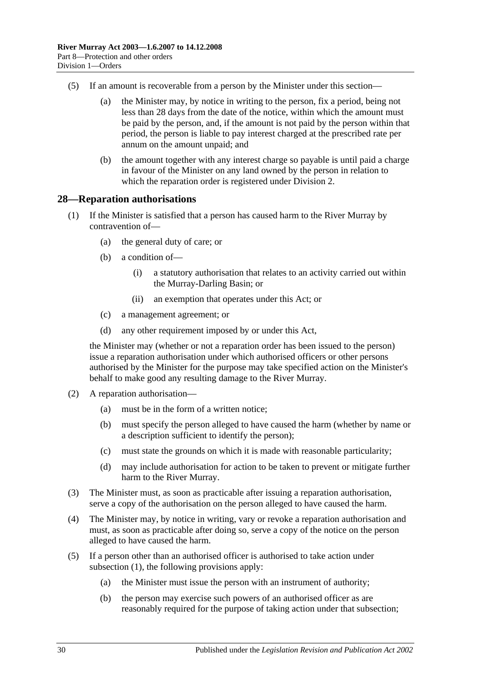- (5) If an amount is recoverable from a person by the Minister under this section—
	- (a) the Minister may, by notice in writing to the person, fix a period, being not less than 28 days from the date of the notice, within which the amount must be paid by the person, and, if the amount is not paid by the person within that period, the person is liable to pay interest charged at the prescribed rate per annum on the amount unpaid; and
	- (b) the amount together with any interest charge so payable is until paid a charge in favour of the Minister on any land owned by the person in relation to which the reparation order is registered under [Division 2.](#page-31-1)

#### <span id="page-29-1"></span><span id="page-29-0"></span>**28—Reparation authorisations**

- (1) If the Minister is satisfied that a person has caused harm to the River Murray by contravention of—
	- (a) the general duty of care; or
	- (b) a condition of—
		- (i) a statutory authorisation that relates to an activity carried out within the Murray-Darling Basin; or
		- (ii) an exemption that operates under this Act; or
	- (c) a management agreement; or
	- (d) any other requirement imposed by or under this Act,

the Minister may (whether or not a reparation order has been issued to the person) issue a reparation authorisation under which authorised officers or other persons authorised by the Minister for the purpose may take specified action on the Minister's behalf to make good any resulting damage to the River Murray.

- (2) A reparation authorisation—
	- (a) must be in the form of a written notice;
	- (b) must specify the person alleged to have caused the harm (whether by name or a description sufficient to identify the person);
	- (c) must state the grounds on which it is made with reasonable particularity;
	- (d) may include authorisation for action to be taken to prevent or mitigate further harm to the River Murray.
- (3) The Minister must, as soon as practicable after issuing a reparation authorisation, serve a copy of the authorisation on the person alleged to have caused the harm.
- (4) The Minister may, by notice in writing, vary or revoke a reparation authorisation and must, as soon as practicable after doing so, serve a copy of the notice on the person alleged to have caused the harm.
- (5) If a person other than an authorised officer is authorised to take action under [subsection](#page-29-1) (1), the following provisions apply:
	- (a) the Minister must issue the person with an instrument of authority;
	- (b) the person may exercise such powers of an authorised officer as are reasonably required for the purpose of taking action under that subsection;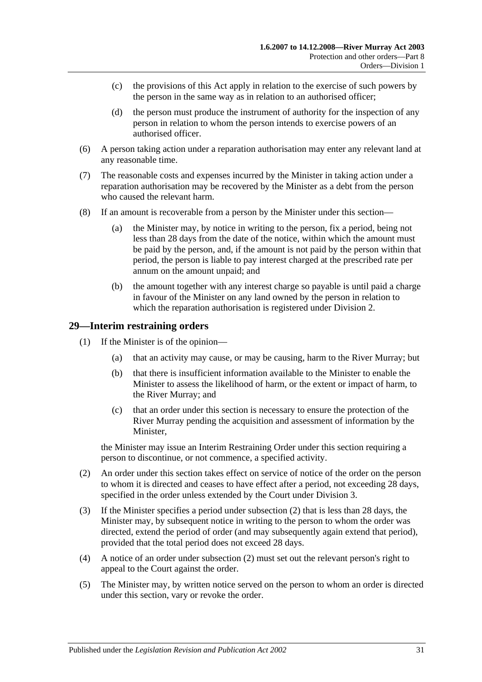- (c) the provisions of this Act apply in relation to the exercise of such powers by the person in the same way as in relation to an authorised officer;
- (d) the person must produce the instrument of authority for the inspection of any person in relation to whom the person intends to exercise powers of an authorised officer.
- (6) A person taking action under a reparation authorisation may enter any relevant land at any reasonable time.
- (7) The reasonable costs and expenses incurred by the Minister in taking action under a reparation authorisation may be recovered by the Minister as a debt from the person who caused the relevant harm.
- (8) If an amount is recoverable from a person by the Minister under this section—
	- (a) the Minister may, by notice in writing to the person, fix a period, being not less than 28 days from the date of the notice, within which the amount must be paid by the person, and, if the amount is not paid by the person within that period, the person is liable to pay interest charged at the prescribed rate per annum on the amount unpaid; and
	- (b) the amount together with any interest charge so payable is until paid a charge in favour of the Minister on any land owned by the person in relation to which the reparation authorisation is registered under [Division 2.](#page-31-1)

### <span id="page-30-0"></span>**29—Interim restraining orders**

- (1) If the Minister is of the opinion—
	- (a) that an activity may cause, or may be causing, harm to the River Murray; but
	- (b) that there is insufficient information available to the Minister to enable the Minister to assess the likelihood of harm, or the extent or impact of harm, to the River Murray; and
	- (c) that an order under this section is necessary to ensure the protection of the River Murray pending the acquisition and assessment of information by the Minister,

the Minister may issue an Interim Restraining Order under this section requiring a person to discontinue, or not commence, a specified activity.

- <span id="page-30-1"></span>(2) An order under this section takes effect on service of notice of the order on the person to whom it is directed and ceases to have effect after a period, not exceeding 28 days, specified in the order unless extended by the Court under [Division 3.](#page-32-1)
- (3) If the Minister specifies a period under [subsection](#page-30-1) (2) that is less than 28 days, the Minister may, by subsequent notice in writing to the person to whom the order was directed, extend the period of order (and may subsequently again extend that period), provided that the total period does not exceed 28 days.
- (4) A notice of an order under [subsection](#page-30-1) (2) must set out the relevant person's right to appeal to the Court against the order.
- (5) The Minister may, by written notice served on the person to whom an order is directed under this section, vary or revoke the order.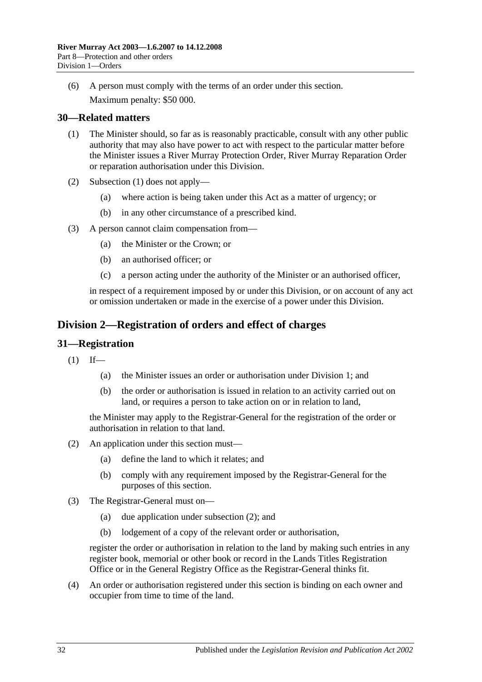(6) A person must comply with the terms of an order under this section. Maximum penalty: \$50 000.

# <span id="page-31-3"></span><span id="page-31-0"></span>**30—Related matters**

- (1) The Minister should, so far as is reasonably practicable, consult with any other public authority that may also have power to act with respect to the particular matter before the Minister issues a River Murray Protection Order, River Murray Reparation Order or reparation authorisation under this Division.
- (2) [Subsection](#page-31-3) (1) does not apply—
	- (a) where action is being taken under this Act as a matter of urgency; or
	- (b) in any other circumstance of a prescribed kind.
- (3) A person cannot claim compensation from—
	- (a) the Minister or the Crown; or
	- (b) an authorised officer; or
	- (c) a person acting under the authority of the Minister or an authorised officer,

in respect of a requirement imposed by or under this Division, or on account of any act or omission undertaken or made in the exercise of a power under this Division.

# <span id="page-31-1"></span>**Division 2—Registration of orders and effect of charges**

#### <span id="page-31-2"></span>**31—Registration**

- $(1)$  If—
	- (a) the Minister issues an order or authorisation under [Division 1;](#page-24-1) and
	- (b) the order or authorisation is issued in relation to an activity carried out on land, or requires a person to take action on or in relation to land,

the Minister may apply to the Registrar-General for the registration of the order or authorisation in relation to that land.

- <span id="page-31-4"></span>(2) An application under this section must—
	- (a) define the land to which it relates; and
	- (b) comply with any requirement imposed by the Registrar-General for the purposes of this section.
- (3) The Registrar-General must on—
	- (a) due application under [subsection](#page-31-4) (2); and
	- (b) lodgement of a copy of the relevant order or authorisation,

register the order or authorisation in relation to the land by making such entries in any register book, memorial or other book or record in the Lands Titles Registration Office or in the General Registry Office as the Registrar-General thinks fit.

(4) An order or authorisation registered under this section is binding on each owner and occupier from time to time of the land.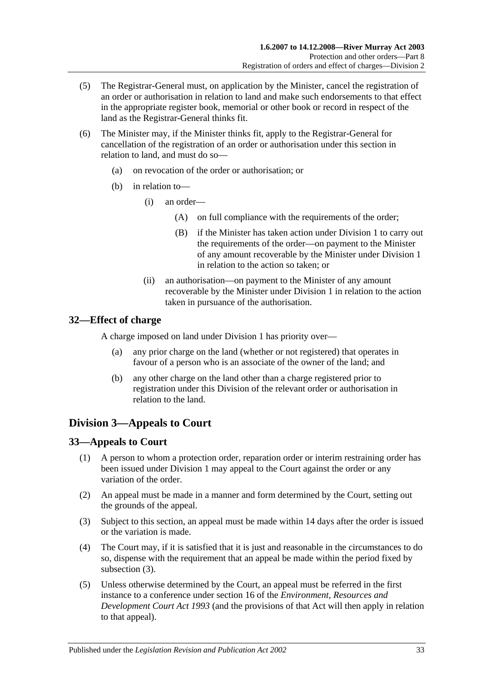- (5) The Registrar-General must, on application by the Minister, cancel the registration of an order or authorisation in relation to land and make such endorsements to that effect in the appropriate register book, memorial or other book or record in respect of the land as the Registrar-General thinks fit.
- (6) The Minister may, if the Minister thinks fit, apply to the Registrar-General for cancellation of the registration of an order or authorisation under this section in relation to land, and must do so—
	- (a) on revocation of the order or authorisation; or
	- (b) in relation to—
		- (i) an order—
			- (A) on full compliance with the requirements of the order;
			- (B) if the Minister has taken action under [Division 1](#page-24-1) to carry out the requirements of the order—on payment to the Minister of any amount recoverable by the Minister under [Division 1](#page-24-1) in relation to the action so taken; or
		- (ii) an authorisation—on payment to the Minister of any amount recoverable by the Minister under [Division 1](#page-24-1) in relation to the action taken in pursuance of the authorisation.

#### <span id="page-32-0"></span>**32—Effect of charge**

A charge imposed on land under [Division 1](#page-24-1) has priority over—

- (a) any prior charge on the land (whether or not registered) that operates in favour of a person who is an associate of the owner of the land; and
- (b) any other charge on the land other than a charge registered prior to registration under this Division of the relevant order or authorisation in relation to the land.

# <span id="page-32-1"></span>**Division 3—Appeals to Court**

### <span id="page-32-2"></span>**33—Appeals to Court**

- (1) A person to whom a protection order, reparation order or interim restraining order has been issued under [Division 1](#page-24-1) may appeal to the Court against the order or any variation of the order.
- (2) An appeal must be made in a manner and form determined by the Court, setting out the grounds of the appeal.
- <span id="page-32-3"></span>(3) Subject to this section, an appeal must be made within 14 days after the order is issued or the variation is made.
- (4) The Court may, if it is satisfied that it is just and reasonable in the circumstances to do so, dispense with the requirement that an appeal be made within the period fixed by [subsection](#page-32-3) (3).
- (5) Unless otherwise determined by the Court, an appeal must be referred in the first instance to a conference under section 16 of the *[Environment, Resources and](http://www.legislation.sa.gov.au/index.aspx?action=legref&type=act&legtitle=Environment%20Resources%20and%20Development%20Court%20Act%201993)  [Development Court Act](http://www.legislation.sa.gov.au/index.aspx?action=legref&type=act&legtitle=Environment%20Resources%20and%20Development%20Court%20Act%201993) 1993* (and the provisions of that Act will then apply in relation to that appeal).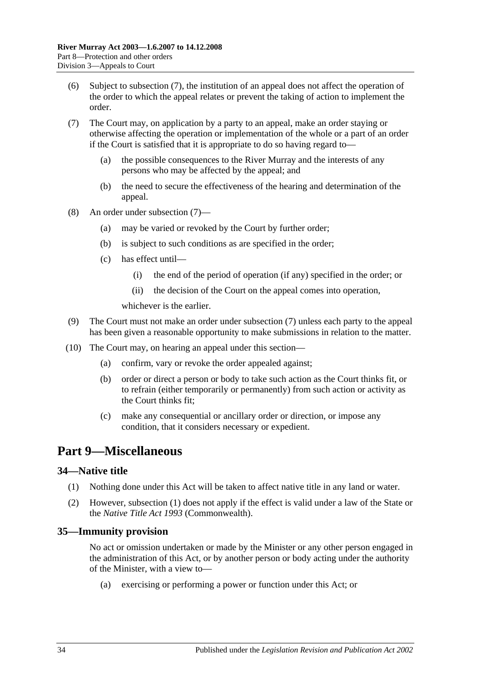- (6) Subject to [subsection](#page-33-3) (7), the institution of an appeal does not affect the operation of the order to which the appeal relates or prevent the taking of action to implement the order.
- <span id="page-33-3"></span>(7) The Court may, on application by a party to an appeal, make an order staying or otherwise affecting the operation or implementation of the whole or a part of an order if the Court is satisfied that it is appropriate to do so having regard to—
	- (a) the possible consequences to the River Murray and the interests of any persons who may be affected by the appeal; and
	- (b) the need to secure the effectiveness of the hearing and determination of the appeal.
- (8) An order under [subsection](#page-33-3) (7)—
	- (a) may be varied or revoked by the Court by further order;
	- (b) is subject to such conditions as are specified in the order;
	- (c) has effect until—
		- (i) the end of the period of operation (if any) specified in the order; or
		- (ii) the decision of the Court on the appeal comes into operation,

whichever is the earlier.

- (9) The Court must not make an order under [subsection](#page-33-3) (7) unless each party to the appeal has been given a reasonable opportunity to make submissions in relation to the matter.
- (10) The Court may, on hearing an appeal under this section—
	- (a) confirm, vary or revoke the order appealed against;
	- (b) order or direct a person or body to take such action as the Court thinks fit, or to refrain (either temporarily or permanently) from such action or activity as the Court thinks fit;
	- (c) make any consequential or ancillary order or direction, or impose any condition, that it considers necessary or expedient.

# <span id="page-33-0"></span>**Part 9—Miscellaneous**

#### <span id="page-33-4"></span><span id="page-33-1"></span>**34—Native title**

- (1) Nothing done under this Act will be taken to affect native title in any land or water.
- (2) However, [subsection](#page-33-4) (1) does not apply if the effect is valid under a law of the State or the *Native Title Act 1993* (Commonwealth).

### <span id="page-33-2"></span>**35—Immunity provision**

No act or omission undertaken or made by the Minister or any other person engaged in the administration of this Act, or by another person or body acting under the authority of the Minister, with a view to—

(a) exercising or performing a power or function under this Act; or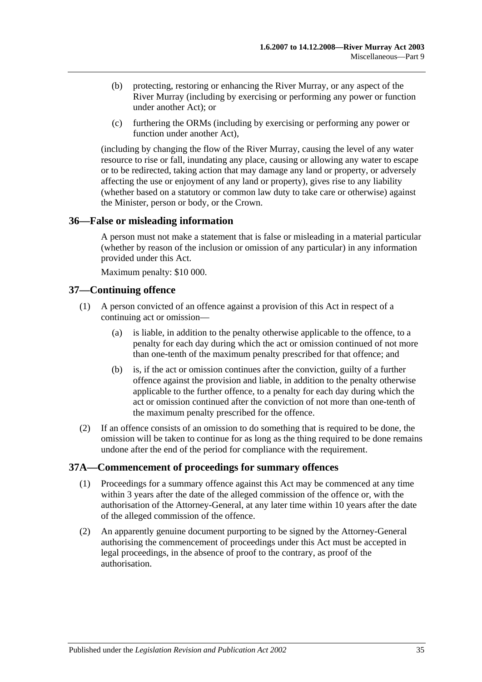- (b) protecting, restoring or enhancing the River Murray, or any aspect of the River Murray (including by exercising or performing any power or function under another Act); or
- (c) furthering the ORMs (including by exercising or performing any power or function under another Act),

(including by changing the flow of the River Murray, causing the level of any water resource to rise or fall, inundating any place, causing or allowing any water to escape or to be redirected, taking action that may damage any land or property, or adversely affecting the use or enjoyment of any land or property), gives rise to any liability (whether based on a statutory or common law duty to take care or otherwise) against the Minister, person or body, or the Crown.

### <span id="page-34-0"></span>**36—False or misleading information**

A person must not make a statement that is false or misleading in a material particular (whether by reason of the inclusion or omission of any particular) in any information provided under this Act.

Maximum penalty: \$10 000.

### <span id="page-34-1"></span>**37—Continuing offence**

- (1) A person convicted of an offence against a provision of this Act in respect of a continuing act or omission—
	- (a) is liable, in addition to the penalty otherwise applicable to the offence, to a penalty for each day during which the act or omission continued of not more than one-tenth of the maximum penalty prescribed for that offence; and
	- (b) is, if the act or omission continues after the conviction, guilty of a further offence against the provision and liable, in addition to the penalty otherwise applicable to the further offence, to a penalty for each day during which the act or omission continued after the conviction of not more than one-tenth of the maximum penalty prescribed for the offence.
- (2) If an offence consists of an omission to do something that is required to be done, the omission will be taken to continue for as long as the thing required to be done remains undone after the end of the period for compliance with the requirement.

### <span id="page-34-2"></span>**37A—Commencement of proceedings for summary offences**

- (1) Proceedings for a summary offence against this Act may be commenced at any time within 3 years after the date of the alleged commission of the offence or, with the authorisation of the Attorney-General, at any later time within 10 years after the date of the alleged commission of the offence.
- (2) An apparently genuine document purporting to be signed by the Attorney-General authorising the commencement of proceedings under this Act must be accepted in legal proceedings, in the absence of proof to the contrary, as proof of the authorisation.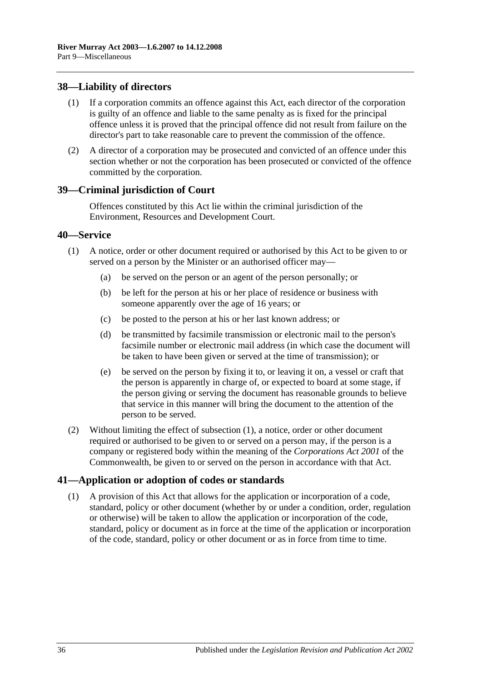### <span id="page-35-0"></span>**38—Liability of directors**

- (1) If a corporation commits an offence against this Act, each director of the corporation is guilty of an offence and liable to the same penalty as is fixed for the principal offence unless it is proved that the principal offence did not result from failure on the director's part to take reasonable care to prevent the commission of the offence.
- (2) A director of a corporation may be prosecuted and convicted of an offence under this section whether or not the corporation has been prosecuted or convicted of the offence committed by the corporation.

#### <span id="page-35-1"></span>**39—Criminal jurisdiction of Court**

Offences constituted by this Act lie within the criminal jurisdiction of the Environment, Resources and Development Court.

#### <span id="page-35-4"></span><span id="page-35-2"></span>**40—Service**

- (1) A notice, order or other document required or authorised by this Act to be given to or served on a person by the Minister or an authorised officer may—
	- (a) be served on the person or an agent of the person personally; or
	- (b) be left for the person at his or her place of residence or business with someone apparently over the age of 16 years; or
	- (c) be posted to the person at his or her last known address; or
	- (d) be transmitted by facsimile transmission or electronic mail to the person's facsimile number or electronic mail address (in which case the document will be taken to have been given or served at the time of transmission); or
	- (e) be served on the person by fixing it to, or leaving it on, a vessel or craft that the person is apparently in charge of, or expected to board at some stage, if the person giving or serving the document has reasonable grounds to believe that service in this manner will bring the document to the attention of the person to be served.
- (2) Without limiting the effect of [subsection](#page-35-4) (1), a notice, order or other document required or authorised to be given to or served on a person may, if the person is a company or registered body within the meaning of the *Corporations Act 2001* of the Commonwealth, be given to or served on the person in accordance with that Act.

#### <span id="page-35-3"></span>**41—Application or adoption of codes or standards**

(1) A provision of this Act that allows for the application or incorporation of a code, standard, policy or other document (whether by or under a condition, order, regulation or otherwise) will be taken to allow the application or incorporation of the code, standard, policy or document as in force at the time of the application or incorporation of the code, standard, policy or other document or as in force from time to time.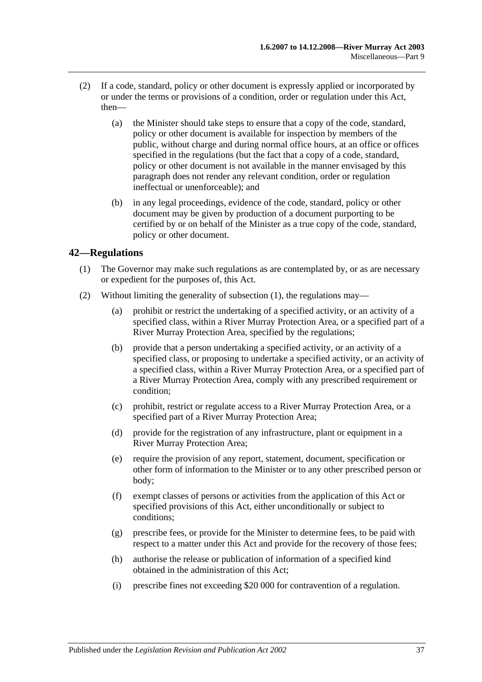- (2) If a code, standard, policy or other document is expressly applied or incorporated by or under the terms or provisions of a condition, order or regulation under this Act, then—
	- (a) the Minister should take steps to ensure that a copy of the code, standard, policy or other document is available for inspection by members of the public, without charge and during normal office hours, at an office or offices specified in the regulations (but the fact that a copy of a code, standard, policy or other document is not available in the manner envisaged by this paragraph does not render any relevant condition, order or regulation ineffectual or unenforceable); and
	- (b) in any legal proceedings, evidence of the code, standard, policy or other document may be given by production of a document purporting to be certified by or on behalf of the Minister as a true copy of the code, standard, policy or other document.

### <span id="page-36-1"></span><span id="page-36-0"></span>**42—Regulations**

- (1) The Governor may make such regulations as are contemplated by, or as are necessary or expedient for the purposes of, this Act.
- <span id="page-36-5"></span><span id="page-36-4"></span><span id="page-36-3"></span><span id="page-36-2"></span>(2) Without limiting the generality of [subsection](#page-36-1) (1), the regulations may—
	- (a) prohibit or restrict the undertaking of a specified activity, or an activity of a specified class, within a River Murray Protection Area, or a specified part of a River Murray Protection Area, specified by the regulations;
	- (b) provide that a person undertaking a specified activity, or an activity of a specified class, or proposing to undertake a specified activity, or an activity of a specified class, within a River Murray Protection Area, or a specified part of a River Murray Protection Area, comply with any prescribed requirement or condition;
	- (c) prohibit, restrict or regulate access to a River Murray Protection Area, or a specified part of a River Murray Protection Area;
	- (d) provide for the registration of any infrastructure, plant or equipment in a River Murray Protection Area;
	- (e) require the provision of any report, statement, document, specification or other form of information to the Minister or to any other prescribed person or body;
	- (f) exempt classes of persons or activities from the application of this Act or specified provisions of this Act, either unconditionally or subject to conditions;
	- (g) prescribe fees, or provide for the Minister to determine fees, to be paid with respect to a matter under this Act and provide for the recovery of those fees;
	- (h) authorise the release or publication of information of a specified kind obtained in the administration of this Act;
	- (i) prescribe fines not exceeding \$20 000 for contravention of a regulation.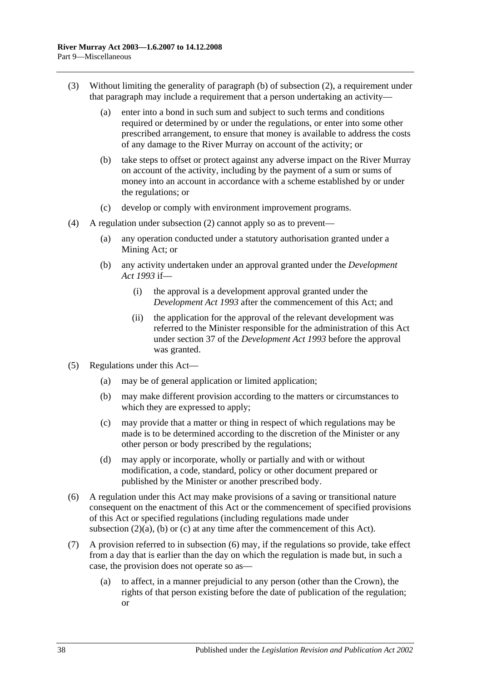- (3) Without limiting the generality of [paragraph](#page-36-2) (b) of [subsection](#page-36-3) (2), a requirement under that paragraph may include a requirement that a person undertaking an activity—
	- (a) enter into a bond in such sum and subject to such terms and conditions required or determined by or under the regulations, or enter into some other prescribed arrangement, to ensure that money is available to address the costs of any damage to the River Murray on account of the activity; or
	- (b) take steps to offset or protect against any adverse impact on the River Murray on account of the activity, including by the payment of a sum or sums of money into an account in accordance with a scheme established by or under the regulations; or
	- (c) develop or comply with environment improvement programs.
- (4) A regulation under [subsection](#page-36-3) (2) cannot apply so as to prevent—
	- (a) any operation conducted under a statutory authorisation granted under a Mining Act; or
	- (b) any activity undertaken under an approval granted under the *[Development](http://www.legislation.sa.gov.au/index.aspx?action=legref&type=act&legtitle=Development%20Act%201993)  Act [1993](http://www.legislation.sa.gov.au/index.aspx?action=legref&type=act&legtitle=Development%20Act%201993)* if—
		- (i) the approval is a development approval granted under the *[Development Act](http://www.legislation.sa.gov.au/index.aspx?action=legref&type=act&legtitle=Development%20Act%201993) 1993* after the commencement of this Act; and
		- (ii) the application for the approval of the relevant development was referred to the Minister responsible for the administration of this Act under section 37 of the *[Development Act](http://www.legislation.sa.gov.au/index.aspx?action=legref&type=act&legtitle=Development%20Act%201993) 1993* before the approval was granted.
- (5) Regulations under this Act—
	- (a) may be of general application or limited application;
	- (b) may make different provision according to the matters or circumstances to which they are expressed to apply;
	- (c) may provide that a matter or thing in respect of which regulations may be made is to be determined according to the discretion of the Minister or any other person or body prescribed by the regulations;
	- (d) may apply or incorporate, wholly or partially and with or without modification, a code, standard, policy or other document prepared or published by the Minister or another prescribed body.
- <span id="page-37-0"></span>(6) A regulation under this Act may make provisions of a saving or transitional nature consequent on the enactment of this Act or the commencement of specified provisions of this Act or specified regulations (including regulations made under [subsection](#page-36-4)  $(2)(a)$ , [\(b\)](#page-36-2) or [\(c\)](#page-36-5) at any time after the commencement of this Act).
- (7) A provision referred to in [subsection](#page-37-0) (6) may, if the regulations so provide, take effect from a day that is earlier than the day on which the regulation is made but, in such a case, the provision does not operate so as—
	- (a) to affect, in a manner prejudicial to any person (other than the Crown), the rights of that person existing before the date of publication of the regulation; or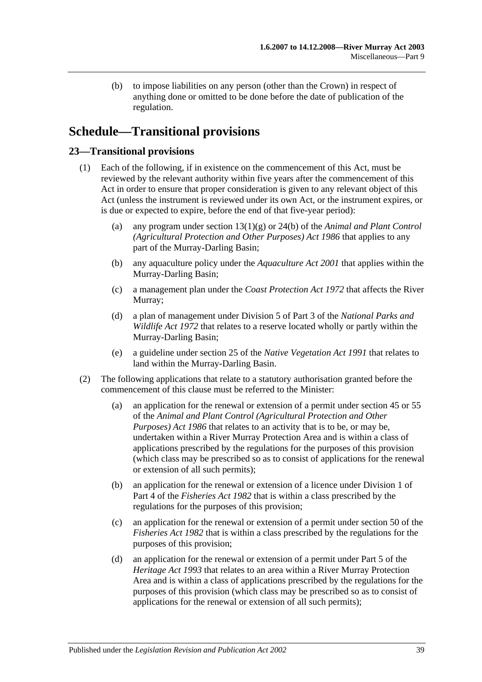(b) to impose liabilities on any person (other than the Crown) in respect of anything done or omitted to be done before the date of publication of the regulation.

# <span id="page-38-0"></span>**Schedule—Transitional provisions**

### <span id="page-38-1"></span>**23—Transitional provisions**

- (1) Each of the following, if in existence on the commencement of this Act, must be reviewed by the relevant authority within five years after the commencement of this Act in order to ensure that proper consideration is given to any relevant object of this Act (unless the instrument is reviewed under its own Act, or the instrument expires, or is due or expected to expire, before the end of that five-year period):
	- (a) any program under section 13(1)(g) or 24(b) of the *[Animal and Plant Control](http://www.legislation.sa.gov.au/index.aspx?action=legref&type=act&legtitle=Animal%20and%20Plant%20Control%20(Agricultural%20Protection%20and%20Other%20Purposes)%20Act%201986)  [\(Agricultural Protection and Other Purposes\) Act](http://www.legislation.sa.gov.au/index.aspx?action=legref&type=act&legtitle=Animal%20and%20Plant%20Control%20(Agricultural%20Protection%20and%20Other%20Purposes)%20Act%201986) 1986* that applies to any part of the Murray-Darling Basin;
	- (b) any aquaculture policy under the *[Aquaculture Act](http://www.legislation.sa.gov.au/index.aspx?action=legref&type=act&legtitle=Aquaculture%20Act%202001) 2001* that applies within the Murray-Darling Basin;
	- (c) a management plan under the *[Coast Protection Act](http://www.legislation.sa.gov.au/index.aspx?action=legref&type=act&legtitle=Coast%20Protection%20Act%201972) 1972* that affects the River Murray;
	- (d) a plan of management under Division 5 of Part 3 of the *[National Parks and](http://www.legislation.sa.gov.au/index.aspx?action=legref&type=act&legtitle=National%20Parks%20and%20Wildlife%20Act%201972)  [Wildlife Act](http://www.legislation.sa.gov.au/index.aspx?action=legref&type=act&legtitle=National%20Parks%20and%20Wildlife%20Act%201972) 1972* that relates to a reserve located wholly or partly within the Murray-Darling Basin;
	- (e) a guideline under section 25 of the *[Native Vegetation Act](http://www.legislation.sa.gov.au/index.aspx?action=legref&type=act&legtitle=Native%20Vegetation%20Act%201991) 1991* that relates to land within the Murray-Darling Basin.
- <span id="page-38-2"></span>(2) The following applications that relate to a statutory authorisation granted before the commencement of this clause must be referred to the Minister:
	- (a) an application for the renewal or extension of a permit under section 45 or 55 of the *[Animal and Plant Control \(Agricultural Protection and Other](http://www.legislation.sa.gov.au/index.aspx?action=legref&type=act&legtitle=Animal%20and%20Plant%20Control%20(Agricultural%20Protection%20and%20Other%20Purposes)%20Act%201986)  [Purposes\) Act](http://www.legislation.sa.gov.au/index.aspx?action=legref&type=act&legtitle=Animal%20and%20Plant%20Control%20(Agricultural%20Protection%20and%20Other%20Purposes)%20Act%201986) 1986* that relates to an activity that is to be, or may be, undertaken within a River Murray Protection Area and is within a class of applications prescribed by the regulations for the purposes of this provision (which class may be prescribed so as to consist of applications for the renewal or extension of all such permits);
	- (b) an application for the renewal or extension of a licence under Division 1 of Part 4 of the *[Fisheries Act](http://www.legislation.sa.gov.au/index.aspx?action=legref&type=act&legtitle=Fisheries%20Act%201982) 1982* that is within a class prescribed by the regulations for the purposes of this provision;
	- (c) an application for the renewal or extension of a permit under section 50 of the *[Fisheries Act](http://www.legislation.sa.gov.au/index.aspx?action=legref&type=act&legtitle=Fisheries%20Act%201982) 1982* that is within a class prescribed by the regulations for the purposes of this provision;
	- (d) an application for the renewal or extension of a permit under Part 5 of the *[Heritage Act](http://www.legislation.sa.gov.au/index.aspx?action=legref&type=act&legtitle=Heritage%20Act%201993) 1993* that relates to an area within a River Murray Protection Area and is within a class of applications prescribed by the regulations for the purposes of this provision (which class may be prescribed so as to consist of applications for the renewal or extension of all such permits);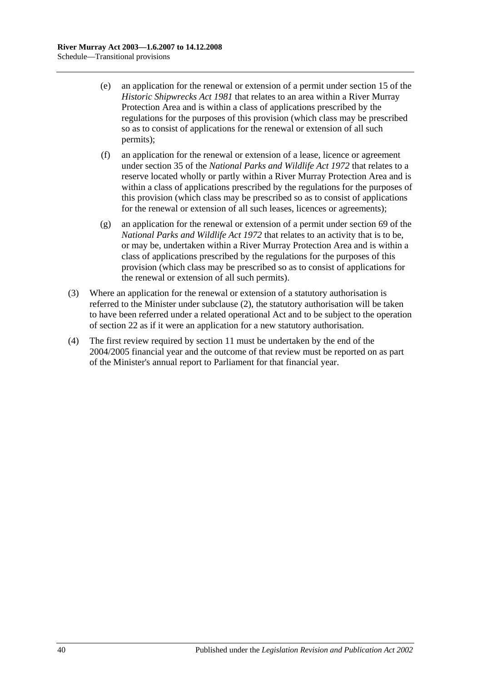- (e) an application for the renewal or extension of a permit under section 15 of the *[Historic Shipwrecks Act](http://www.legislation.sa.gov.au/index.aspx?action=legref&type=act&legtitle=Historic%20Shipwrecks%20Act%201981) 1981* that relates to an area within a River Murray Protection Area and is within a class of applications prescribed by the regulations for the purposes of this provision (which class may be prescribed so as to consist of applications for the renewal or extension of all such permits);
- (f) an application for the renewal or extension of a lease, licence or agreement under section 35 of the *[National Parks and Wildlife Act](http://www.legislation.sa.gov.au/index.aspx?action=legref&type=act&legtitle=National%20Parks%20and%20Wildlife%20Act%201972) 1972* that relates to a reserve located wholly or partly within a River Murray Protection Area and is within a class of applications prescribed by the regulations for the purposes of this provision (which class may be prescribed so as to consist of applications for the renewal or extension of all such leases, licences or agreements);
- (g) an application for the renewal or extension of a permit under section 69 of the *[National Parks and Wildlife Act](http://www.legislation.sa.gov.au/index.aspx?action=legref&type=act&legtitle=National%20Parks%20and%20Wildlife%20Act%201972) 1972* that relates to an activity that is to be, or may be, undertaken within a River Murray Protection Area and is within a class of applications prescribed by the regulations for the purposes of this provision (which class may be prescribed so as to consist of applications for the renewal or extension of all such permits).
- (3) Where an application for the renewal or extension of a statutory authorisation is referred to the Minister under [subclause](#page-38-2) (2), the statutory authorisation will be taken to have been referred under a related operational Act and to be subject to the operation of [section](#page-19-1) 22 as if it were an application for a new statutory authorisation.
- (4) The first review required by [section](#page-11-1) 11 must be undertaken by the end of the 2004/2005 financial year and the outcome of that review must be reported on as part of the Minister's annual report to Parliament for that financial year.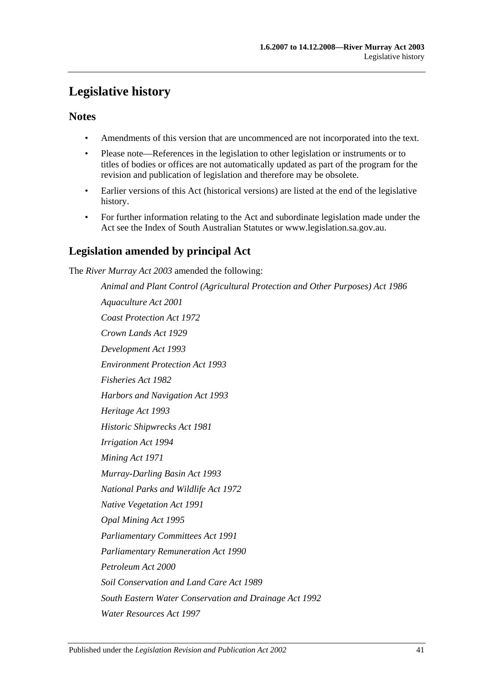# <span id="page-40-0"></span>**Legislative history**

# **Notes**

- Amendments of this version that are uncommenced are not incorporated into the text.
- Please note—References in the legislation to other legislation or instruments or to titles of bodies or offices are not automatically updated as part of the program for the revision and publication of legislation and therefore may be obsolete.
- Earlier versions of this Act (historical versions) are listed at the end of the legislative history.
- For further information relating to the Act and subordinate legislation made under the Act see the Index of South Australian Statutes or www.legislation.sa.gov.au.

# **Legislation amended by principal Act**

The *River Murray Act 2003* amended the following:

*Animal and Plant Control (Agricultural Protection and Other Purposes) Act 1986 Aquaculture Act 2001 Coast Protection Act 1972 Crown Lands Act 1929 Development Act 1993 Environment Protection Act 1993 Fisheries Act 1982 Harbors and Navigation Act 1993 Heritage Act 1993 Historic Shipwrecks Act 1981 Irrigation Act 1994 Mining Act 1971 Murray-Darling Basin Act 1993 National Parks and Wildlife Act 1972 Native Vegetation Act 1991 Opal Mining Act 1995 Parliamentary Committees Act 1991 Parliamentary Remuneration Act 1990 Petroleum Act 2000 Soil Conservation and Land Care Act 1989 South Eastern Water Conservation and Drainage Act 1992 Water Resources Act 1997*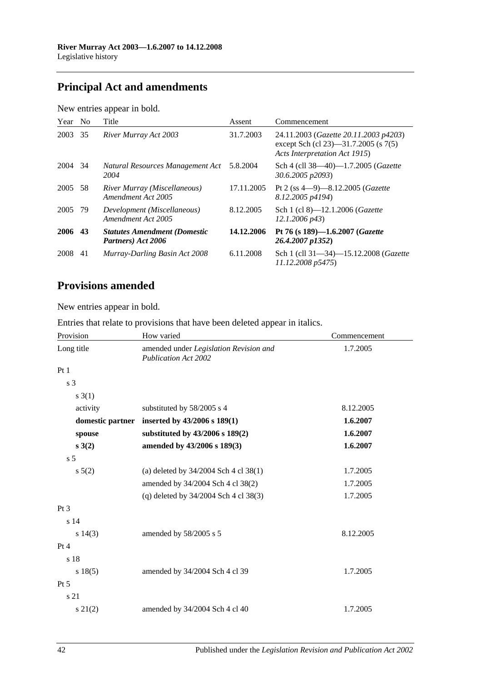# **Principal Act and amendments**

| New entries appear in bold. |  |  |
|-----------------------------|--|--|
|                             |  |  |

| Year    | N <sub>0</sub> | Title                                                     | Assent     | Commencement                                                                                                   |
|---------|----------------|-----------------------------------------------------------|------------|----------------------------------------------------------------------------------------------------------------|
| 2003    | 35             | River Murray Act 2003                                     | 31.7.2003  | 24.11.2003 (Gazette 20.11.2003 p4203)<br>except Sch (cl 23)—31.7.2005 (s 7(5)<br>Acts Interpretation Act 1915) |
| 2004 34 |                | Natural Resources Management Act<br>2004                  | 5.8.2004   | Sch 4 (cll 38—40)—1.7.2005 (Gazette<br>30.6.2005 p2093)                                                        |
| 2005    | 58             | River Murray (Miscellaneous)<br>Amendment Act 2005        | 17.11.2005 | Pt 2 (ss $4-9$ )-8.12.2005 ( <i>Gazette</i><br>8.12.2005 p4194)                                                |
| 2005 79 |                | Development (Miscellaneous)<br>Amendment Act 2005         | 8.12.2005  | Sch 1 (cl 8)—12.1.2006 ( <i>Gazette</i><br>$12.1.2006 \text{ p43}$                                             |
| 2006 43 |                | <b>Statutes Amendment (Domestic</b><br>Partners) Act 2006 | 14.12.2006 | Pt 76 (s 189)-1.6.2007 ( <i>Gazette</i><br>26.4.2007 p1352)                                                    |
| 2008    | 41             | Murray-Darling Basin Act 2008                             | 6.11.2008  | Sch 1 (cll 31-34)-15.12.2008 (Gazette<br>11.12.2008 p5475)                                                     |

# **Provisions amended**

New entries appear in bold.

Entries that relate to provisions that have been deleted appear in italics.

| Provision        | How varied                                                            | Commencement |
|------------------|-----------------------------------------------------------------------|--------------|
| Long title       | amended under Legislation Revision and<br><b>Publication Act 2002</b> | 1.7.2005     |
| Pt1              |                                                                       |              |
| s <sub>3</sub>   |                                                                       |              |
| s(3(1))          |                                                                       |              |
| activity         | substituted by 58/2005 s 4                                            | 8.12.2005    |
| domestic partner | inserted by 43/2006 s 189(1)                                          | 1.6.2007     |
| spouse           | substituted by 43/2006 s 189(2)                                       | 1.6.2007     |
| s(2)             | amended by 43/2006 s 189(3)                                           | 1.6.2007     |
| s <sub>5</sub>   |                                                                       |              |
| $s\ 5(2)$        | (a) deleted by $34/2004$ Sch 4 cl 38(1)                               | 1.7.2005     |
|                  | amended by 34/2004 Sch 4 cl 38(2)                                     | 1.7.2005     |
|                  | (q) deleted by 34/2004 Sch 4 cl 38(3)                                 | 1.7.2005     |
| $Pt\,3$          |                                                                       |              |
| s <sub>14</sub>  |                                                                       |              |
| s 14(3)          | amended by 58/2005 s 5                                                | 8.12.2005    |
| Pt 4             |                                                                       |              |
| s 18             |                                                                       |              |
| s 18(5)          | amended by 34/2004 Sch 4 cl 39                                        | 1.7.2005     |
| $Pt\,5$          |                                                                       |              |
| s 21             |                                                                       |              |
| $s\ 21(2)$       | amended by 34/2004 Sch 4 cl 40                                        | 1.7.2005     |